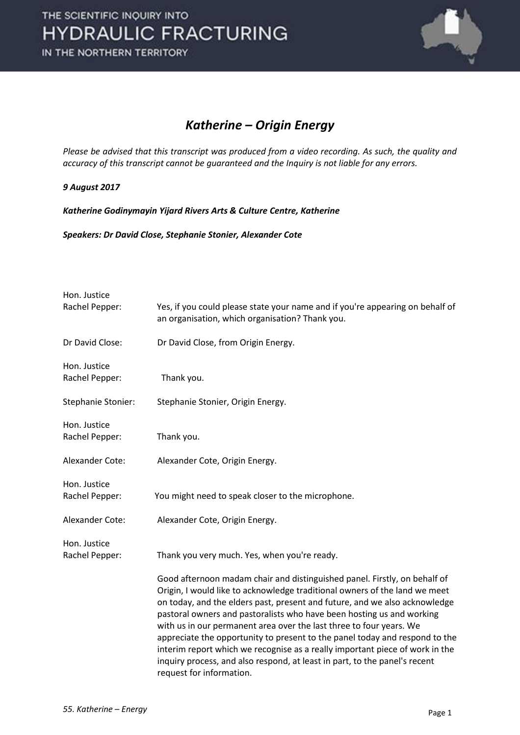

### *Katherine – Origin Energy*

*Please be advised that this transcript was produced from a video recording. As such, the quality and accuracy of this transcript cannot be guaranteed and the Inquiry is not liable for any errors.*

#### *9 August 2017*

*Katherine Godinymayin Yijard Rivers Arts & Culture Centre, Katherine*

*Speakers: Dr David Close, Stephanie Stonier, Alexander Cote*

| Hon. Justice<br>Rachel Pepper: | Yes, if you could please state your name and if you're appearing on behalf of<br>an organisation, which organisation? Thank you.                                                                                                                                                                                                                                                                                                                                                                                                                                                                                                                               |
|--------------------------------|----------------------------------------------------------------------------------------------------------------------------------------------------------------------------------------------------------------------------------------------------------------------------------------------------------------------------------------------------------------------------------------------------------------------------------------------------------------------------------------------------------------------------------------------------------------------------------------------------------------------------------------------------------------|
| Dr David Close:                | Dr David Close, from Origin Energy.                                                                                                                                                                                                                                                                                                                                                                                                                                                                                                                                                                                                                            |
| Hon. Justice<br>Rachel Pepper: | Thank you.                                                                                                                                                                                                                                                                                                                                                                                                                                                                                                                                                                                                                                                     |
| Stephanie Stonier:             | Stephanie Stonier, Origin Energy.                                                                                                                                                                                                                                                                                                                                                                                                                                                                                                                                                                                                                              |
| Hon. Justice<br>Rachel Pepper: | Thank you.                                                                                                                                                                                                                                                                                                                                                                                                                                                                                                                                                                                                                                                     |
| Alexander Cote:                | Alexander Cote, Origin Energy.                                                                                                                                                                                                                                                                                                                                                                                                                                                                                                                                                                                                                                 |
| Hon. Justice<br>Rachel Pepper: | You might need to speak closer to the microphone.                                                                                                                                                                                                                                                                                                                                                                                                                                                                                                                                                                                                              |
| Alexander Cote:                | Alexander Cote, Origin Energy.                                                                                                                                                                                                                                                                                                                                                                                                                                                                                                                                                                                                                                 |
| Hon. Justice<br>Rachel Pepper: | Thank you very much. Yes, when you're ready.                                                                                                                                                                                                                                                                                                                                                                                                                                                                                                                                                                                                                   |
|                                | Good afternoon madam chair and distinguished panel. Firstly, on behalf of<br>Origin, I would like to acknowledge traditional owners of the land we meet<br>on today, and the elders past, present and future, and we also acknowledge<br>pastoral owners and pastoralists who have been hosting us and working<br>with us in our permanent area over the last three to four years. We<br>appreciate the opportunity to present to the panel today and respond to the<br>interim report which we recognise as a really important piece of work in the<br>inquiry process, and also respond, at least in part, to the panel's recent<br>request for information. |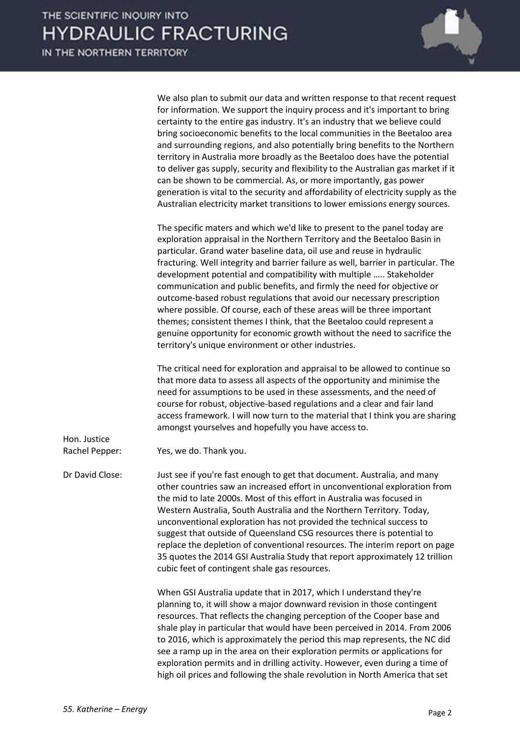

We also plan to submit our data and written response to that recent request for information. We support the inquiry process and it's important to bring certainty to the entire gas industry. It's an industry that we believe could bring socioeconomic benefits to the local communities in the Beetaloo area and surrounding regions, and also potentially bring benefits to the Northern territory in Australia more broadly as the Beetaloo does have the potential to deliver gas supply, security and flexibility to the Australian gas market if it can be shown to be commercial. As, or more importantly, gas power generation is vital to the security and affordability of electricity supply as the Australian electricity market transitions to lower emissions energy sources.

The specific maters and which we'd like to present to the panel today are exploration appraisal in the Northern Territory and the Beetaloo Basin in particular. Grand water baseline data, oil use and reuse in hydraulic fracturing. Well integrity and barrier failure as well, barrier in particular. The development potential and compatibility with multiple ….. Stakeholder communication and public benefits, and firmly the need for objective or outcome-based robust regulations that avoid our necessary prescription where possible. Of course, each of these areas will be three important themes; consistent themes I think, that the Beetaloo could represent a genuine opportunity for economic growth without the need to sacrifice the territory's unique environment or other industries.

The critical need for exploration and appraisal to be allowed to continue so that more data to assess all aspects of the opportunity and minimise the need for assumptions to be used in these assessments, and the need of course for robust, objective-based regulations and a clear and fair land access framework. I will now turn to the material that I think you are sharing amongst yourselves and hopefully you have access to.

Rachel Pepper: Yes, we do. Thank you.

Hon. Justice

Dr David Close: Just see if you're fast enough to get that document. Australia, and many other countries saw an increased effort in unconventional exploration from the mid to late 2000s. Most of this effort in Australia was focused in Western Australia, South Australia and the Northern Territory. Today, unconventional exploration has not provided the technical success to suggest that outside of Queensland CSG resources there is potential to replace the depletion of conventional resources. The interim report on page 35 quotes the 2014 GSI Australia Study that report approximately 12 trillion cubic feet of contingent shale gas resources.

> When GSI Australia update that in 2017, which I understand they're planning to, it will show a major downward revision in those contingent resources. That reflects the changing perception of the Cooper base and shale play in particular that would have been perceived in 2014. From 2006 to 2016, which is approximately the period this map represents, the NC did see a ramp up in the area on their exploration permits or applications for exploration permits and in drilling activity. However, even during a time of high oil prices and following the shale revolution in North America that set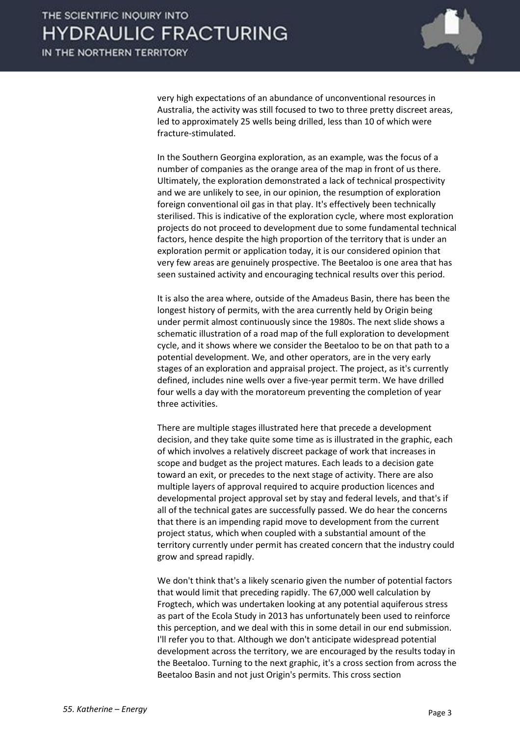

very high expectations of an abundance of unconventional resources in Australia, the activity was still focused to two to three pretty discreet areas, led to approximately 25 wells being drilled, less than 10 of which were fracture-stimulated.

In the Southern Georgina exploration, as an example, was the focus of a number of companies as the orange area of the map in front of us there. Ultimately, the exploration demonstrated a lack of technical prospectivity and we are unlikely to see, in our opinion, the resumption of exploration foreign conventional oil gas in that play. It's effectively been technically sterilised. This is indicative of the exploration cycle, where most exploration projects do not proceed to development due to some fundamental technical factors, hence despite the high proportion of the territory that is under an exploration permit or application today, it is our considered opinion that very few areas are genuinely prospective. The Beetaloo is one area that has seen sustained activity and encouraging technical results over this period.

It is also the area where, outside of the Amadeus Basin, there has been the longest history of permits, with the area currently held by Origin being under permit almost continuously since the 1980s. The next slide shows a schematic illustration of a road map of the full exploration to development cycle, and it shows where we consider the Beetaloo to be on that path to a potential development. We, and other operators, are in the very early stages of an exploration and appraisal project. The project, as it's currently defined, includes nine wells over a five-year permit term. We have drilled four wells a day with the moratoreum preventing the completion of year three activities.

There are multiple stages illustrated here that precede a development decision, and they take quite some time as is illustrated in the graphic, each of which involves a relatively discreet package of work that increases in scope and budget as the project matures. Each leads to a decision gate toward an exit, or precedes to the next stage of activity. There are also multiple layers of approval required to acquire production licences and developmental project approval set by stay and federal levels, and that's if all of the technical gates are successfully passed. We do hear the concerns that there is an impending rapid move to development from the current project status, which when coupled with a substantial amount of the territory currently under permit has created concern that the industry could grow and spread rapidly.

We don't think that's a likely scenario given the number of potential factors that would limit that preceding rapidly. The 67,000 well calculation by Frogtech, which was undertaken looking at any potential aquiferous stress as part of the Ecola Study in 2013 has unfortunately been used to reinforce this perception, and we deal with this in some detail in our end submission. I'll refer you to that. Although we don't anticipate widespread potential development across the territory, we are encouraged by the results today in the Beetaloo. Turning to the next graphic, it's a cross section from across the Beetaloo Basin and not just Origin's permits. This cross section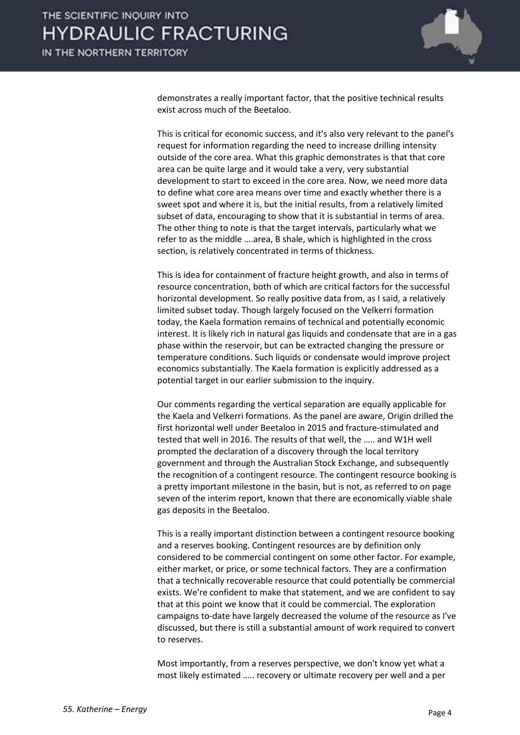

demonstrates a really important factor, that the positive technical results exist across much of the Beetaloo.

This is critical for economic success, and it's also very relevant to the panel's request for information regarding the need to increase drilling intensity outside of the core area. What this graphic demonstrates is that that core area can be quite large and it would take a very, very substantial development to start to exceed in the core area. Now, we need more data to define what core area means over time and exactly whether there is a sweet spot and where it is, but the initial results, from a relatively limited subset of data, encouraging to show that it is substantial in terms of area. The other thing to note is that the target intervals, particularly what we refer to as the middle ….area, B shale, which is highlighted in the cross section, is relatively concentrated in terms of thickness.

This is idea for containment of fracture height growth, and also in terms of resource concentration, both of which are critical factors for the successful horizontal development. So really positive data from, as I said, a relatively limited subset today. Though largely focused on the Velkerri formation today, the Kaela formation remains of technical and potentially economic interest. It is likely rich in natural gas liquids and condensate that are in a gas phase within the reservoir, but can be extracted changing the pressure or temperature conditions. Such liquids or condensate would improve project economics substantially. The Kaela formation is explicitly addressed as a potential target in our earlier submission to the inquiry.

Our comments regarding the vertical separation are equally applicable for the Kaela and Velkerri formations. As the panel are aware, Origin drilled the first horizontal well under Beetaloo in 2015 and fracture-stimulated and tested that well in 2016. The results of that well, the ….. and W1H well prompted the declaration of a discovery through the local territory government and through the Australian Stock Exchange, and subsequently the recognition of a contingent resource. The contingent resource booking is a pretty important milestone in the basin, but is not, as referred to on page seven of the interim report, known that there are economically viable shale gas deposits in the Beetaloo.

This is a really important distinction between a contingent resource booking and a reserves booking. Contingent resources are by definition only considered to be commercial contingent on some other factor. For example, either market, or price, or some technical factors. They are a confirmation that a technically recoverable resource that could potentially be commercial exists. We're confident to make that statement, and we are confident to say that at this point we know that it could be commercial. The exploration campaigns to-date have largely decreased the volume of the resource as I've discussed, but there is still a substantial amount of work required to convert to reserves.

Most importantly, from a reserves perspective, we don't know yet what a most likely estimated ….. recovery or ultimate recovery per well and a per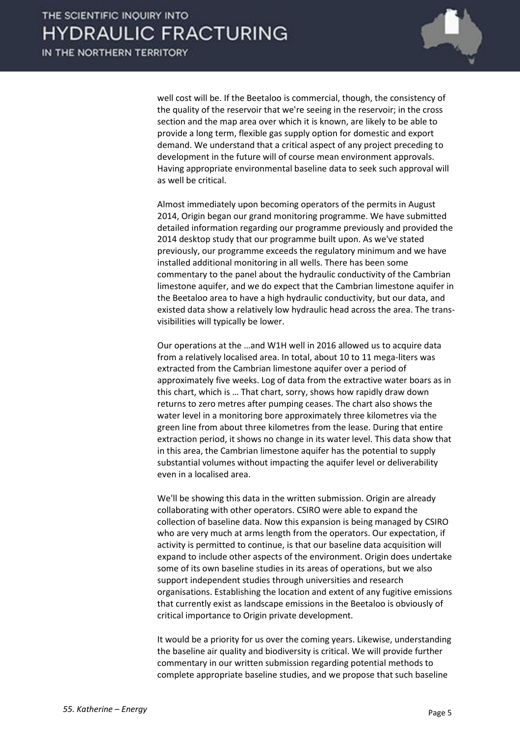

well cost will be. If the Beetaloo is commercial, though, the consistency of the quality of the reservoir that we're seeing in the reservoir; in the cross section and the map area over which it is known, are likely to be able to provide a long term, flexible gas supply option for domestic and export demand. We understand that a critical aspect of any project preceding to development in the future will of course mean environment approvals. Having appropriate environmental baseline data to seek such approval will as well be critical.

Almost immediately upon becoming operators of the permits in August 2014, Origin began our grand monitoring programme. We have submitted detailed information regarding our programme previously and provided the 2014 desktop study that our programme built upon. As we've stated previously, our programme exceeds the regulatory minimum and we have installed additional monitoring in all wells. There has been some commentary to the panel about the hydraulic conductivity of the Cambrian limestone aquifer, and we do expect that the Cambrian limestone aquifer in the Beetaloo area to have a high hydraulic conductivity, but our data, and existed data show a relatively low hydraulic head across the area. The transvisibilities will typically be lower.

Our operations at the …and W1H well in 2016 allowed us to acquire data from a relatively localised area. In total, about 10 to 11 mega-liters was extracted from the Cambrian limestone aquifer over a period of approximately five weeks. Log of data from the extractive water boars as in this chart, which is … That chart, sorry, shows how rapidly draw down returns to zero metres after pumping ceases. The chart also shows the water level in a monitoring bore approximately three kilometres via the green line from about three kilometres from the lease. During that entire extraction period, it shows no change in its water level. This data show that in this area, the Cambrian limestone aquifer has the potential to supply substantial volumes without impacting the aquifer level or deliverability even in a localised area.

We'll be showing this data in the written submission. Origin are already collaborating with other operators. CSIRO were able to expand the collection of baseline data. Now this expansion is being managed by CSIRO who are very much at arms length from the operators. Our expectation, if activity is permitted to continue, is that our baseline data acquisition will expand to include other aspects of the environment. Origin does undertake some of its own baseline studies in its areas of operations, but we also support independent studies through universities and research organisations. Establishing the location and extent of any fugitive emissions that currently exist as landscape emissions in the Beetaloo is obviously of critical importance to Origin private development.

It would be a priority for us over the coming years. Likewise, understanding the baseline air quality and biodiversity is critical. We will provide further commentary in our written submission regarding potential methods to complete appropriate baseline studies, and we propose that such baseline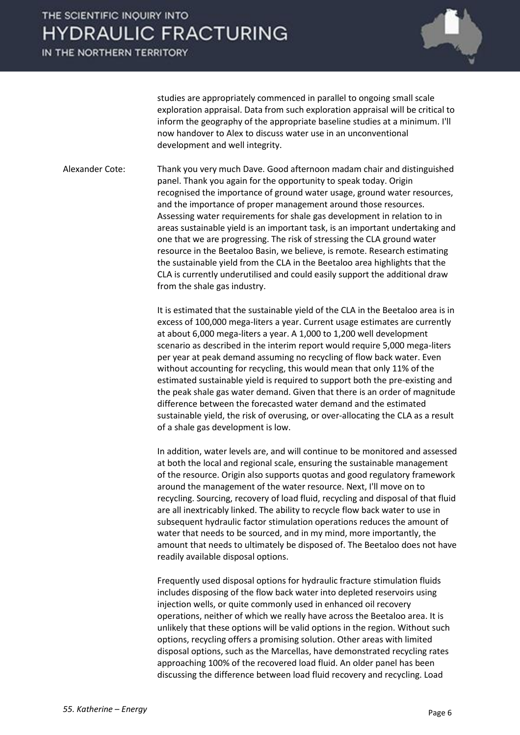IN THE NORTHERN TERRITORY



studies are appropriately commenced in parallel to ongoing small scale exploration appraisal. Data from such exploration appraisal will be critical to inform the geography of the appropriate baseline studies at a minimum. I'll now handover to Alex to discuss water use in an unconventional development and well integrity.

Alexander Cote: Thank you very much Dave. Good afternoon madam chair and distinguished panel. Thank you again for the opportunity to speak today. Origin recognised the importance of ground water usage, ground water resources, and the importance of proper management around those resources. Assessing water requirements for shale gas development in relation to in areas sustainable yield is an important task, is an important undertaking and one that we are progressing. The risk of stressing the CLA ground water resource in the Beetaloo Basin, we believe, is remote. Research estimating the sustainable yield from the CLA in the Beetaloo area highlights that the CLA is currently underutilised and could easily support the additional draw from the shale gas industry.

> It is estimated that the sustainable yield of the CLA in the Beetaloo area is in excess of 100,000 mega-liters a year. Current usage estimates are currently at about 6,000 mega-liters a year. A 1,000 to 1,200 well development scenario as described in the interim report would require 5,000 mega-liters per year at peak demand assuming no recycling of flow back water. Even without accounting for recycling, this would mean that only 11% of the estimated sustainable yield is required to support both the pre-existing and the peak shale gas water demand. Given that there is an order of magnitude difference between the forecasted water demand and the estimated sustainable yield, the risk of overusing, or over-allocating the CLA as a result of a shale gas development is low.

> In addition, water levels are, and will continue to be monitored and assessed at both the local and regional scale, ensuring the sustainable management of the resource. Origin also supports quotas and good regulatory framework around the management of the water resource. Next, I'll move on to recycling. Sourcing, recovery of load fluid, recycling and disposal of that fluid are all inextricably linked. The ability to recycle flow back water to use in subsequent hydraulic factor stimulation operations reduces the amount of water that needs to be sourced, and in my mind, more importantly, the amount that needs to ultimately be disposed of. The Beetaloo does not have readily available disposal options.

Frequently used disposal options for hydraulic fracture stimulation fluids includes disposing of the flow back water into depleted reservoirs using injection wells, or quite commonly used in enhanced oil recovery operations, neither of which we really have across the Beetaloo area. It is unlikely that these options will be valid options in the region. Without such options, recycling offers a promising solution. Other areas with limited disposal options, such as the Marcellas, have demonstrated recycling rates approaching 100% of the recovered load fluid. An older panel has been discussing the difference between load fluid recovery and recycling. Load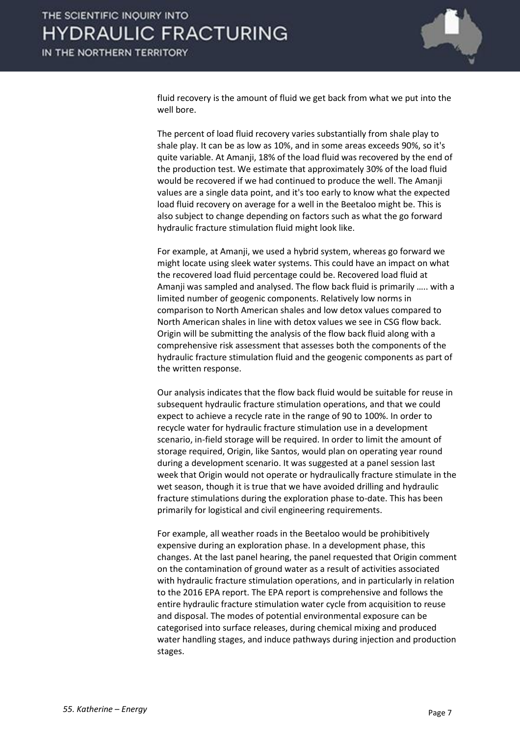

fluid recovery is the amount of fluid we get back from what we put into the well bore.

The percent of load fluid recovery varies substantially from shale play to shale play. It can be as low as 10%, and in some areas exceeds 90%, so it's quite variable. At Amanji, 18% of the load fluid was recovered by the end of the production test. We estimate that approximately 30% of the load fluid would be recovered if we had continued to produce the well. The Amanji values are a single data point, and it's too early to know what the expected load fluid recovery on average for a well in the Beetaloo might be. This is also subject to change depending on factors such as what the go forward hydraulic fracture stimulation fluid might look like.

For example, at Amanji, we used a hybrid system, whereas go forward we might locate using sleek water systems. This could have an impact on what the recovered load fluid percentage could be. Recovered load fluid at Amanji was sampled and analysed. The flow back fluid is primarily ….. with a limited number of geogenic components. Relatively low norms in comparison to North American shales and low detox values compared to North American shales in line with detox values we see in CSG flow back. Origin will be submitting the analysis of the flow back fluid along with a comprehensive risk assessment that assesses both the components of the hydraulic fracture stimulation fluid and the geogenic components as part of the written response.

Our analysis indicates that the flow back fluid would be suitable for reuse in subsequent hydraulic fracture stimulation operations, and that we could expect to achieve a recycle rate in the range of 90 to 100%. In order to recycle water for hydraulic fracture stimulation use in a development scenario, in-field storage will be required. In order to limit the amount of storage required, Origin, like Santos, would plan on operating year round during a development scenario. It was suggested at a panel session last week that Origin would not operate or hydraulically fracture stimulate in the wet season, though it is true that we have avoided drilling and hydraulic fracture stimulations during the exploration phase to-date. This has been primarily for logistical and civil engineering requirements.

For example, all weather roads in the Beetaloo would be prohibitively expensive during an exploration phase. In a development phase, this changes. At the last panel hearing, the panel requested that Origin comment on the contamination of ground water as a result of activities associated with hydraulic fracture stimulation operations, and in particularly in relation to the 2016 EPA report. The EPA report is comprehensive and follows the entire hydraulic fracture stimulation water cycle from acquisition to reuse and disposal. The modes of potential environmental exposure can be categorised into surface releases, during chemical mixing and produced water handling stages, and induce pathways during injection and production stages.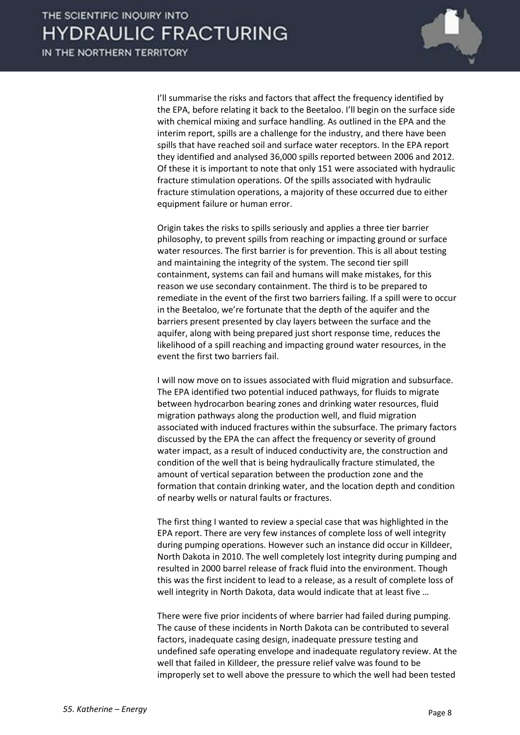

I'll summarise the risks and factors that affect the frequency identified by the EPA, before relating it back to the Beetaloo. I'll begin on the surface side with chemical mixing and surface handling. As outlined in the EPA and the interim report, spills are a challenge for the industry, and there have been spills that have reached soil and surface water receptors. In the EPA report they identified and analysed 36,000 spills reported between 2006 and 2012. Of these it is important to note that only 151 were associated with hydraulic fracture stimulation operations. Of the spills associated with hydraulic fracture stimulation operations, a majority of these occurred due to either equipment failure or human error.

Origin takes the risks to spills seriously and applies a three tier barrier philosophy, to prevent spills from reaching or impacting ground or surface water resources. The first barrier is for prevention. This is all about testing and maintaining the integrity of the system. The second tier spill containment, systems can fail and humans will make mistakes, for this reason we use secondary containment. The third is to be prepared to remediate in the event of the first two barriers failing. If a spill were to occur in the Beetaloo, we're fortunate that the depth of the aquifer and the barriers present presented by clay layers between the surface and the aquifer, along with being prepared just short response time, reduces the likelihood of a spill reaching and impacting ground water resources, in the event the first two barriers fail.

I will now move on to issues associated with fluid migration and subsurface. The EPA identified two potential induced pathways, for fluids to migrate between hydrocarbon bearing zones and drinking water resources, fluid migration pathways along the production well, and fluid migration associated with induced fractures within the subsurface. The primary factors discussed by the EPA the can affect the frequency or severity of ground water impact, as a result of induced conductivity are, the construction and condition of the well that is being hydraulically fracture stimulated, the amount of vertical separation between the production zone and the formation that contain drinking water, and the location depth and condition of nearby wells or natural faults or fractures.

The first thing I wanted to review a special case that was highlighted in the EPA report. There are very few instances of complete loss of well integrity during pumping operations. However such an instance did occur in Killdeer, North Dakota in 2010. The well completely lost integrity during pumping and resulted in 2000 barrel release of frack fluid into the environment. Though this was the first incident to lead to a release, as a result of complete loss of well integrity in North Dakota, data would indicate that at least five …

There were five prior incidents of where barrier had failed during pumping. The cause of these incidents in North Dakota can be contributed to several factors, inadequate casing design, inadequate pressure testing and undefined safe operating envelope and inadequate regulatory review. At the well that failed in Killdeer, the pressure relief valve was found to be improperly set to well above the pressure to which the well had been tested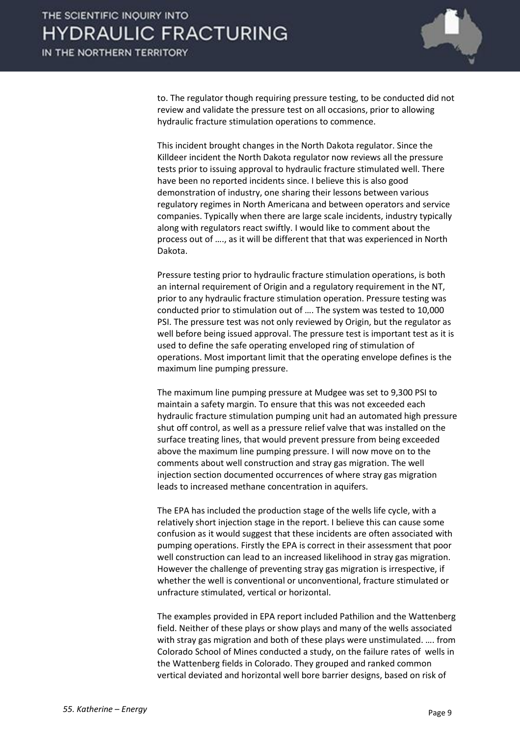

to. The regulator though requiring pressure testing, to be conducted did not review and validate the pressure test on all occasions, prior to allowing hydraulic fracture stimulation operations to commence.

This incident brought changes in the North Dakota regulator. Since the Killdeer incident the North Dakota regulator now reviews all the pressure tests prior to issuing approval to hydraulic fracture stimulated well. There have been no reported incidents since. I believe this is also good demonstration of industry, one sharing their lessons between various regulatory regimes in North Americana and between operators and service companies. Typically when there are large scale incidents, industry typically along with regulators react swiftly. I would like to comment about the process out of …., as it will be different that that was experienced in North Dakota.

Pressure testing prior to hydraulic fracture stimulation operations, is both an internal requirement of Origin and a regulatory requirement in the NT, prior to any hydraulic fracture stimulation operation. Pressure testing was conducted prior to stimulation out of …. The system was tested to 10,000 PSI. The pressure test was not only reviewed by Origin, but the regulator as well before being issued approval. The pressure test is important test as it is used to define the safe operating enveloped ring of stimulation of operations. Most important limit that the operating envelope defines is the maximum line pumping pressure.

The maximum line pumping pressure at Mudgee was set to 9,300 PSI to maintain a safety margin. To ensure that this was not exceeded each hydraulic fracture stimulation pumping unit had an automated high pressure shut off control, as well as a pressure relief valve that was installed on the surface treating lines, that would prevent pressure from being exceeded above the maximum line pumping pressure. I will now move on to the comments about well construction and stray gas migration. The well injection section documented occurrences of where stray gas migration leads to increased methane concentration in aquifers.

The EPA has included the production stage of the wells life cycle, with a relatively short injection stage in the report. I believe this can cause some confusion as it would suggest that these incidents are often associated with pumping operations. Firstly the EPA is correct in their assessment that poor well construction can lead to an increased likelihood in stray gas migration. However the challenge of preventing stray gas migration is irrespective, if whether the well is conventional or unconventional, fracture stimulated or unfracture stimulated, vertical or horizontal.

The examples provided in EPA report included Pathilion and the Wattenberg field. Neither of these plays or show plays and many of the wells associated with stray gas migration and both of these plays were unstimulated. …. from Colorado School of Mines conducted a study, on the failure rates of wells in the Wattenberg fields in Colorado. They grouped and ranked common vertical deviated and horizontal well bore barrier designs, based on risk of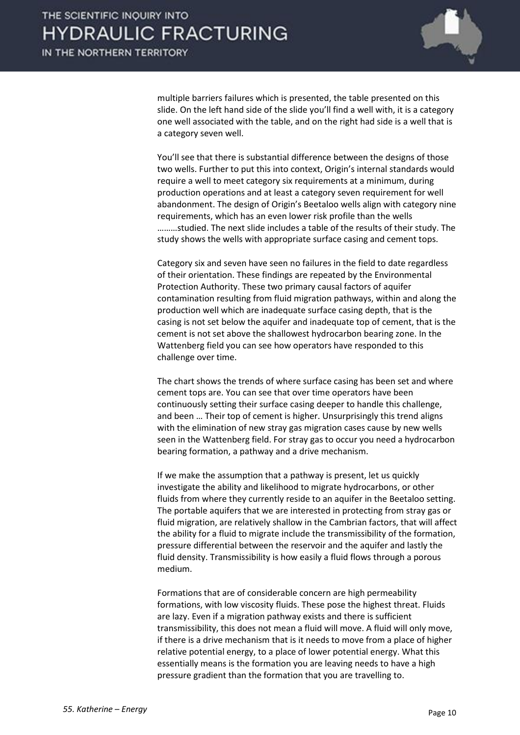

multiple barriers failures which is presented, the table presented on this slide. On the left hand side of the slide you'll find a well with, it is a category one well associated with the table, and on the right had side is a well that is a category seven well.

You'll see that there is substantial difference between the designs of those two wells. Further to put this into context, Origin's internal standards would require a well to meet category six requirements at a minimum, during production operations and at least a category seven requirement for well abandonment. The design of Origin's Beetaloo wells align with category nine requirements, which has an even lower risk profile than the wells ………studied. The next slide includes a table of the results of their study. The study shows the wells with appropriate surface casing and cement tops.

Category six and seven have seen no failures in the field to date regardless of their orientation. These findings are repeated by the Environmental Protection Authority. These two primary causal factors of aquifer contamination resulting from fluid migration pathways, within and along the production well which are inadequate surface casing depth, that is the casing is not set below the aquifer and inadequate top of cement, that is the cement is not set above the shallowest hydrocarbon bearing zone. In the Wattenberg field you can see how operators have responded to this challenge over time.

The chart shows the trends of where surface casing has been set and where cement tops are. You can see that over time operators have been continuously setting their surface casing deeper to handle this challenge, and been … Their top of cement is higher. Unsurprisingly this trend aligns with the elimination of new stray gas migration cases cause by new wells seen in the Wattenberg field. For stray gas to occur you need a hydrocarbon bearing formation, a pathway and a drive mechanism.

If we make the assumption that a pathway is present, let us quickly investigate the ability and likelihood to migrate hydrocarbons, or other fluids from where they currently reside to an aquifer in the Beetaloo setting. The portable aquifers that we are interested in protecting from stray gas or fluid migration, are relatively shallow in the Cambrian factors, that will affect the ability for a fluid to migrate include the transmissibility of the formation, pressure differential between the reservoir and the aquifer and lastly the fluid density. Transmissibility is how easily a fluid flows through a porous medium.

Formations that are of considerable concern are high permeability formations, with low viscosity fluids. These pose the highest threat. Fluids are lazy. Even if a migration pathway exists and there is sufficient transmissibility, this does not mean a fluid will move. A fluid will only move, if there is a drive mechanism that is it needs to move from a place of higher relative potential energy, to a place of lower potential energy. What this essentially means is the formation you are leaving needs to have a high pressure gradient than the formation that you are travelling to.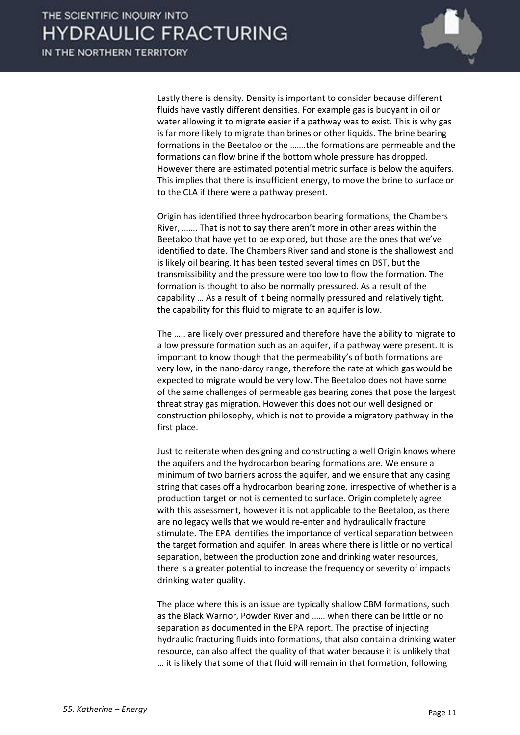

Lastly there is density. Density is important to consider because different fluids have vastly different densities. For example gas is buoyant in oil or water allowing it to migrate easier if a pathway was to exist. This is why gas is far more likely to migrate than brines or other liquids. The brine bearing formations in the Beetaloo or the …….the formations are permeable and the formations can flow brine if the bottom whole pressure has dropped. However there are estimated potential metric surface is below the aquifers. This implies that there is insufficient energy, to move the brine to surface or to the CLA if there were a pathway present.

Origin has identified three hydrocarbon bearing formations, the Chambers River, ……. That is not to say there aren't more in other areas within the Beetaloo that have yet to be explored, but those are the ones that we've identified to date. The Chambers River sand and stone is the shallowest and is likely oil bearing. It has been tested several times on DST, but the transmissibility and the pressure were too low to flow the formation. The formation is thought to also be normally pressured. As a result of the capability … As a result of it being normally pressured and relatively tight, the capability for this fluid to migrate to an aquifer is low.

The ….. are likely over pressured and therefore have the ability to migrate to a low pressure formation such as an aquifer, if a pathway were present. It is important to know though that the permeability's of both formations are very low, in the nano-darcy range, therefore the rate at which gas would be expected to migrate would be very low. The Beetaloo does not have some of the same challenges of permeable gas bearing zones that pose the largest threat stray gas migration. However this does not our well designed or construction philosophy, which is not to provide a migratory pathway in the first place.

Just to reiterate when designing and constructing a well Origin knows where the aquifers and the hydrocarbon bearing formations are. We ensure a minimum of two barriers across the aquifer, and we ensure that any casing string that cases off a hydrocarbon bearing zone, irrespective of whether is a production target or not is cemented to surface. Origin completely agree with this assessment, however it is not applicable to the Beetaloo, as there are no legacy wells that we would re-enter and hydraulically fracture stimulate. The EPA identifies the importance of vertical separation between the target formation and aquifer. In areas where there is little or no vertical separation, between the production zone and drinking water resources, there is a greater potential to increase the frequency or severity of impacts drinking water quality.

The place where this is an issue are typically shallow CBM formations, such as the Black Warrior, Powder River and …… when there can be little or no separation as documented in the EPA report. The practise of injecting hydraulic fracturing fluids into formations, that also contain a drinking water resource, can also affect the quality of that water because it is unlikely that … it is likely that some of that fluid will remain in that formation, following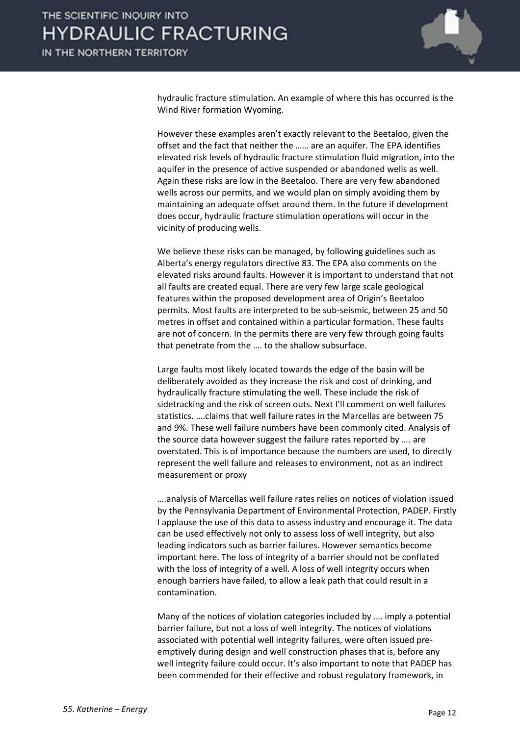

hydraulic fracture stimulation. An example of where this has occurred is the Wind River formation Wyoming.

However these examples aren't exactly relevant to the Beetaloo, given the offset and the fact that neither the …… are an aquifer. The EPA identifies elevated risk levels of hydraulic fracture stimulation fluid migration, into the aquifer in the presence of active suspended or abandoned wells as well. Again these risks are low in the Beetaloo. There are very few abandoned wells across our permits, and we would plan on simply avoiding them by maintaining an adequate offset around them. In the future if development does occur, hydraulic fracture stimulation operations will occur in the vicinity of producing wells.

We believe these risks can be managed, by following guidelines such as Alberta's energy regulators directive 83. The EPA also comments on the elevated risks around faults. However it is important to understand that not all faults are created equal. There are very few large scale geological features within the proposed development area of Origin's Beetaloo permits. Most faults are interpreted to be sub-seismic, between 25 and 50 metres in offset and contained within a particular formation. These faults are not of concern. In the permits there are very few through going faults that penetrate from the …. to the shallow subsurface.

Large faults most likely located towards the edge of the basin will be deliberately avoided as they increase the risk and cost of drinking, and hydraulically fracture stimulating the well. These include the risk of sidetracking and the risk of screen outs. Next I'll comment on well failures statistics. ….claims that well failure rates in the Marcellas are between 75 and 9%. These well failure numbers have been commonly cited. Analysis of the source data however suggest the failure rates reported by …. are overstated. This is of importance because the numbers are used, to directly represent the well failure and releases to environment, not as an indirect measurement or proxy

….analysis of Marcellas well failure rates relies on notices of violation issued by the Pennsylvania Department of Environmental Protection, PADEP. Firstly I applause the use of this data to assess industry and encourage it. The data can be used effectively not only to assess loss of well integrity, but also leading indicators such as barrier failures. However semantics become important here. The loss of integrity of a barrier should not be conflated with the loss of integrity of a well. A loss of well integrity occurs when enough barriers have failed, to allow a leak path that could result in a contamination.

Many of the notices of violation categories included by …. imply a potential barrier failure, but not a loss of well integrity. The notices of violations associated with potential well integrity failures, were often issued preemptively during design and well construction phases that is, before any well integrity failure could occur. It's also important to note that PADEP has been commended for their effective and robust regulatory framework, in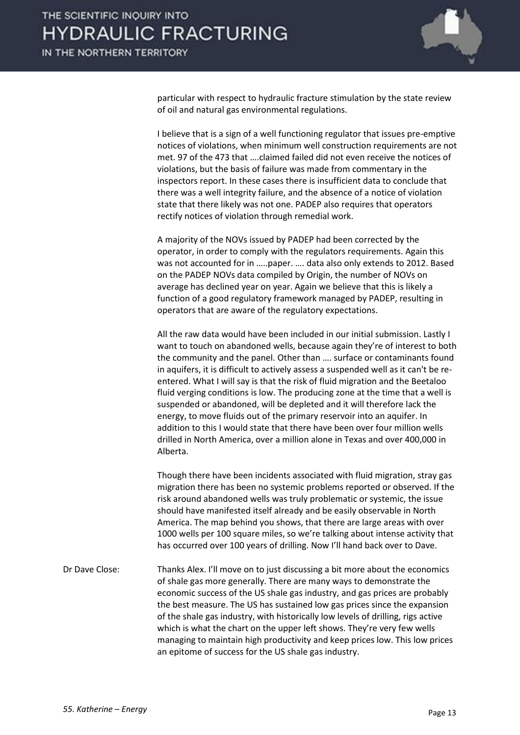

particular with respect to hydraulic fracture stimulation by the state review of oil and natural gas environmental regulations.

I believe that is a sign of a well functioning regulator that issues pre-emptive notices of violations, when minimum well construction requirements are not met. 97 of the 473 that ….claimed failed did not even receive the notices of violations, but the basis of failure was made from commentary in the inspectors report. In these cases there is insufficient data to conclude that there was a well integrity failure, and the absence of a notice of violation state that there likely was not one. PADEP also requires that operators rectify notices of violation through remedial work.

A majority of the NOVs issued by PADEP had been corrected by the operator, in order to comply with the regulators requirements. Again this was not accounted for in …..paper. …. data also only extends to 2012. Based on the PADEP NOVs data compiled by Origin, the number of NOVs on average has declined year on year. Again we believe that this is likely a function of a good regulatory framework managed by PADEP, resulting in operators that are aware of the regulatory expectations.

All the raw data would have been included in our initial submission. Lastly I want to touch on abandoned wells, because again they're of interest to both the community and the panel. Other than …. surface or contaminants found in aquifers, it is difficult to actively assess a suspended well as it can't be reentered. What I will say is that the risk of fluid migration and the Beetaloo fluid verging conditions is low. The producing zone at the time that a well is suspended or abandoned, will be depleted and it will therefore lack the energy, to move fluids out of the primary reservoir into an aquifer. In addition to this I would state that there have been over four million wells drilled in North America, over a million alone in Texas and over 400,000 in Alberta.

Though there have been incidents associated with fluid migration, stray gas migration there has been no systemic problems reported or observed. If the risk around abandoned wells was truly problematic or systemic, the issue should have manifested itself already and be easily observable in North America. The map behind you shows, that there are large areas with over 1000 wells per 100 square miles, so we're talking about intense activity that has occurred over 100 years of drilling. Now I'll hand back over to Dave.

Dr Dave Close: Thanks Alex. I'll move on to just discussing a bit more about the economics of shale gas more generally. There are many ways to demonstrate the economic success of the US shale gas industry, and gas prices are probably the best measure. The US has sustained low gas prices since the expansion of the shale gas industry, with historically low levels of drilling, rigs active which is what the chart on the upper left shows. They're very few wells managing to maintain high productivity and keep prices low. This low prices an epitome of success for the US shale gas industry.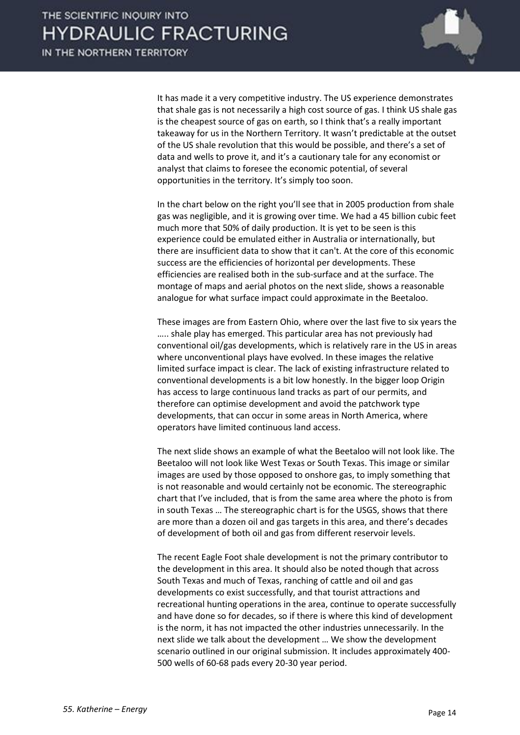

It has made it a very competitive industry. The US experience demonstrates that shale gas is not necessarily a high cost source of gas. I think US shale gas is the cheapest source of gas on earth, so I think that's a really important takeaway for us in the Northern Territory. It wasn't predictable at the outset of the US shale revolution that this would be possible, and there's a set of data and wells to prove it, and it's a cautionary tale for any economist or analyst that claims to foresee the economic potential, of several opportunities in the territory. It's simply too soon.

In the chart below on the right you'll see that in 2005 production from shale gas was negligible, and it is growing over time. We had a 45 billion cubic feet much more that 50% of daily production. It is yet to be seen is this experience could be emulated either in Australia or internationally, but there are insufficient data to show that it can't. At the core of this economic success are the efficiencies of horizontal per developments. These efficiencies are realised both in the sub-surface and at the surface. The montage of maps and aerial photos on the next slide, shows a reasonable analogue for what surface impact could approximate in the Beetaloo.

These images are from Eastern Ohio, where over the last five to six years the ….. shale play has emerged. This particular area has not previously had conventional oil/gas developments, which is relatively rare in the US in areas where unconventional plays have evolved. In these images the relative limited surface impact is clear. The lack of existing infrastructure related to conventional developments is a bit low honestly. In the bigger loop Origin has access to large continuous land tracks as part of our permits, and therefore can optimise development and avoid the patchwork type developments, that can occur in some areas in North America, where operators have limited continuous land access.

The next slide shows an example of what the Beetaloo will not look like. The Beetaloo will not look like West Texas or South Texas. This image or similar images are used by those opposed to onshore gas, to imply something that is not reasonable and would certainly not be economic. The stereographic chart that I've included, that is from the same area where the photo is from in south Texas … The stereographic chart is for the USGS, shows that there are more than a dozen oil and gas targets in this area, and there's decades of development of both oil and gas from different reservoir levels.

The recent Eagle Foot shale development is not the primary contributor to the development in this area. It should also be noted though that across South Texas and much of Texas, ranching of cattle and oil and gas developments co exist successfully, and that tourist attractions and recreational hunting operations in the area, continue to operate successfully and have done so for decades, so if there is where this kind of development is the norm, it has not impacted the other industries unnecessarily. In the next slide we talk about the development … We show the development scenario outlined in our original submission. It includes approximately 400- 500 wells of 60-68 pads every 20-30 year period.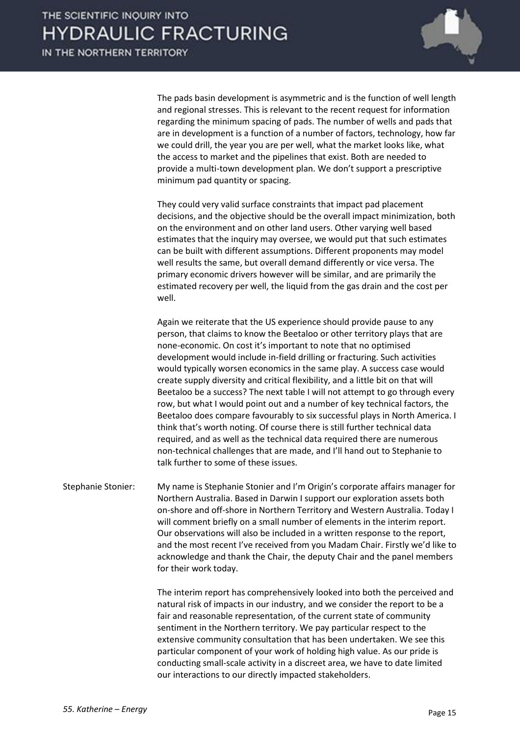

The pads basin development is asymmetric and is the function of well length and regional stresses. This is relevant to the recent request for information regarding the minimum spacing of pads. The number of wells and pads that are in development is a function of a number of factors, technology, how far we could drill, the year you are per well, what the market looks like, what the access to market and the pipelines that exist. Both are needed to provide a multi-town development plan. We don't support a prescriptive minimum pad quantity or spacing.

They could very valid surface constraints that impact pad placement decisions, and the objective should be the overall impact minimization, both on the environment and on other land users. Other varying well based estimates that the inquiry may oversee, we would put that such estimates can be built with different assumptions. Different proponents may model well results the same, but overall demand differently or vice versa. The primary economic drivers however will be similar, and are primarily the estimated recovery per well, the liquid from the gas drain and the cost per well.

Again we reiterate that the US experience should provide pause to any person, that claims to know the Beetaloo or other territory plays that are none-economic. On cost it's important to note that no optimised development would include in-field drilling or fracturing. Such activities would typically worsen economics in the same play. A success case would create supply diversity and critical flexibility, and a little bit on that will Beetaloo be a success? The next table I will not attempt to go through every row, but what I would point out and a number of key technical factors, the Beetaloo does compare favourably to six successful plays in North America. I think that's worth noting. Of course there is still further technical data required, and as well as the technical data required there are numerous non-technical challenges that are made, and I'll hand out to Stephanie to talk further to some of these issues.

Stephanie Stonier: My name is Stephanie Stonier and I'm Origin's corporate affairs manager for Northern Australia. Based in Darwin I support our exploration assets both on-shore and off-shore in Northern Territory and Western Australia. Today I will comment briefly on a small number of elements in the interim report. Our observations will also be included in a written response to the report, and the most recent I've received from you Madam Chair. Firstly we'd like to acknowledge and thank the Chair, the deputy Chair and the panel members for their work today.

> The interim report has comprehensively looked into both the perceived and natural risk of impacts in our industry, and we consider the report to be a fair and reasonable representation, of the current state of community sentiment in the Northern territory. We pay particular respect to the extensive community consultation that has been undertaken. We see this particular component of your work of holding high value. As our pride is conducting small-scale activity in a discreet area, we have to date limited our interactions to our directly impacted stakeholders.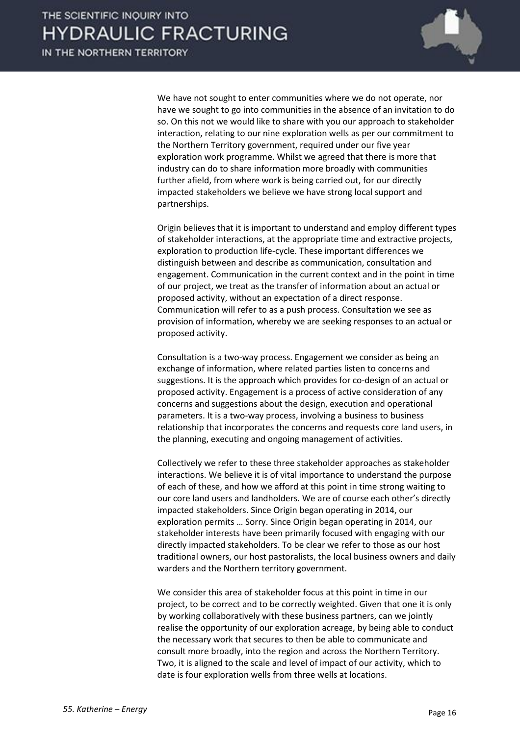

We have not sought to enter communities where we do not operate, nor have we sought to go into communities in the absence of an invitation to do so. On this not we would like to share with you our approach to stakeholder interaction, relating to our nine exploration wells as per our commitment to the Northern Territory government, required under our five year exploration work programme. Whilst we agreed that there is more that industry can do to share information more broadly with communities further afield, from where work is being carried out, for our directly impacted stakeholders we believe we have strong local support and partnerships.

Origin believes that it is important to understand and employ different types of stakeholder interactions, at the appropriate time and extractive projects, exploration to production life-cycle. These important differences we distinguish between and describe as communication, consultation and engagement. Communication in the current context and in the point in time of our project, we treat as the transfer of information about an actual or proposed activity, without an expectation of a direct response. Communication will refer to as a push process. Consultation we see as provision of information, whereby we are seeking responses to an actual or proposed activity.

Consultation is a two-way process. Engagement we consider as being an exchange of information, where related parties listen to concerns and suggestions. It is the approach which provides for co-design of an actual or proposed activity. Engagement is a process of active consideration of any concerns and suggestions about the design, execution and operational parameters. It is a two-way process, involving a business to business relationship that incorporates the concerns and requests core land users, in the planning, executing and ongoing management of activities.

Collectively we refer to these three stakeholder approaches as stakeholder interactions. We believe it is of vital importance to understand the purpose of each of these, and how we afford at this point in time strong waiting to our core land users and landholders. We are of course each other's directly impacted stakeholders. Since Origin began operating in 2014, our exploration permits … Sorry. Since Origin began operating in 2014, our stakeholder interests have been primarily focused with engaging with our directly impacted stakeholders. To be clear we refer to those as our host traditional owners, our host pastoralists, the local business owners and daily warders and the Northern territory government.

We consider this area of stakeholder focus at this point in time in our project, to be correct and to be correctly weighted. Given that one it is only by working collaboratively with these business partners, can we jointly realise the opportunity of our exploration acreage, by being able to conduct the necessary work that secures to then be able to communicate and consult more broadly, into the region and across the Northern Territory. Two, it is aligned to the scale and level of impact of our activity, which to date is four exploration wells from three wells at locations.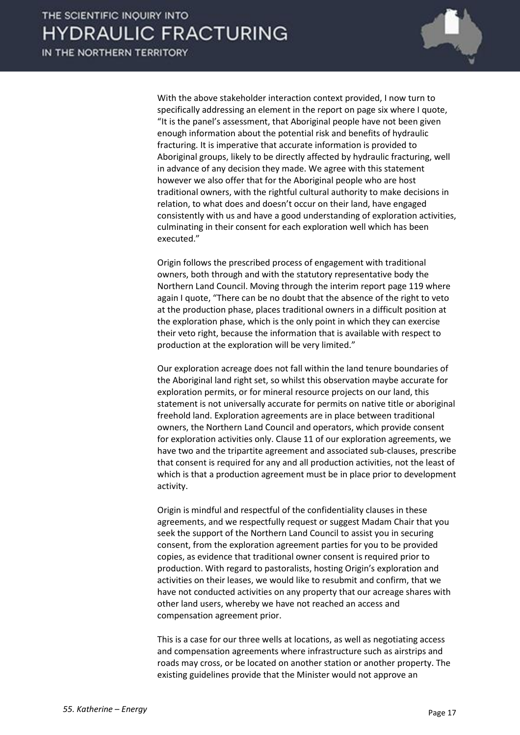

With the above stakeholder interaction context provided, I now turn to specifically addressing an element in the report on page six where I quote, "It is the panel's assessment, that Aboriginal people have not been given enough information about the potential risk and benefits of hydraulic fracturing. It is imperative that accurate information is provided to Aboriginal groups, likely to be directly affected by hydraulic fracturing, well in advance of any decision they made. We agree with this statement however we also offer that for the Aboriginal people who are host traditional owners, with the rightful cultural authority to make decisions in relation, to what does and doesn't occur on their land, have engaged consistently with us and have a good understanding of exploration activities, culminating in their consent for each exploration well which has been executed."

Origin follows the prescribed process of engagement with traditional owners, both through and with the statutory representative body the Northern Land Council. Moving through the interim report page 119 where again I quote, "There can be no doubt that the absence of the right to veto at the production phase, places traditional owners in a difficult position at the exploration phase, which is the only point in which they can exercise their veto right, because the information that is available with respect to production at the exploration will be very limited."

Our exploration acreage does not fall within the land tenure boundaries of the Aboriginal land right set, so whilst this observation maybe accurate for exploration permits, or for mineral resource projects on our land, this statement is not universally accurate for permits on native title or aboriginal freehold land. Exploration agreements are in place between traditional owners, the Northern Land Council and operators, which provide consent for exploration activities only. Clause 11 of our exploration agreements, we have two and the tripartite agreement and associated sub-clauses, prescribe that consent is required for any and all production activities, not the least of which is that a production agreement must be in place prior to development activity.

Origin is mindful and respectful of the confidentiality clauses in these agreements, and we respectfully request or suggest Madam Chair that you seek the support of the Northern Land Council to assist you in securing consent, from the exploration agreement parties for you to be provided copies, as evidence that traditional owner consent is required prior to production. With regard to pastoralists, hosting Origin's exploration and activities on their leases, we would like to resubmit and confirm, that we have not conducted activities on any property that our acreage shares with other land users, whereby we have not reached an access and compensation agreement prior.

This is a case for our three wells at locations, as well as negotiating access and compensation agreements where infrastructure such as airstrips and roads may cross, or be located on another station or another property. The existing guidelines provide that the Minister would not approve an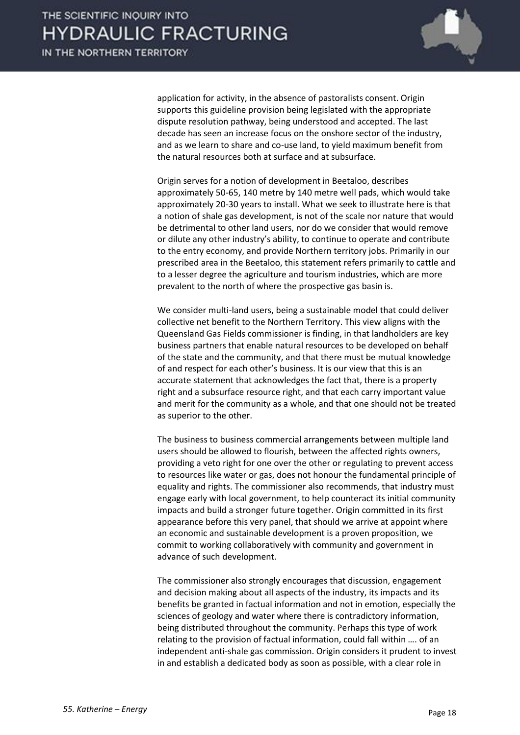

application for activity, in the absence of pastoralists consent. Origin supports this guideline provision being legislated with the appropriate dispute resolution pathway, being understood and accepted. The last decade has seen an increase focus on the onshore sector of the industry, and as we learn to share and co-use land, to yield maximum benefit from the natural resources both at surface and at subsurface.

Origin serves for a notion of development in Beetaloo, describes approximately 50-65, 140 metre by 140 metre well pads, which would take approximately 20-30 years to install. What we seek to illustrate here is that a notion of shale gas development, is not of the scale nor nature that would be detrimental to other land users, nor do we consider that would remove or dilute any other industry's ability, to continue to operate and contribute to the entry economy, and provide Northern territory jobs. Primarily in our prescribed area in the Beetaloo, this statement refers primarily to cattle and to a lesser degree the agriculture and tourism industries, which are more prevalent to the north of where the prospective gas basin is.

We consider multi-land users, being a sustainable model that could deliver collective net benefit to the Northern Territory. This view aligns with the Queensland Gas Fields commissioner is finding, in that landholders are key business partners that enable natural resources to be developed on behalf of the state and the community, and that there must be mutual knowledge of and respect for each other's business. It is our view that this is an accurate statement that acknowledges the fact that, there is a property right and a subsurface resource right, and that each carry important value and merit for the community as a whole, and that one should not be treated as superior to the other.

The business to business commercial arrangements between multiple land users should be allowed to flourish, between the affected rights owners, providing a veto right for one over the other or regulating to prevent access to resources like water or gas, does not honour the fundamental principle of equality and rights. The commissioner also recommends, that industry must engage early with local government, to help counteract its initial community impacts and build a stronger future together. Origin committed in its first appearance before this very panel, that should we arrive at appoint where an economic and sustainable development is a proven proposition, we commit to working collaboratively with community and government in advance of such development.

The commissioner also strongly encourages that discussion, engagement and decision making about all aspects of the industry, its impacts and its benefits be granted in factual information and not in emotion, especially the sciences of geology and water where there is contradictory information, being distributed throughout the community. Perhaps this type of work relating to the provision of factual information, could fall within …. of an independent anti-shale gas commission. Origin considers it prudent to invest in and establish a dedicated body as soon as possible, with a clear role in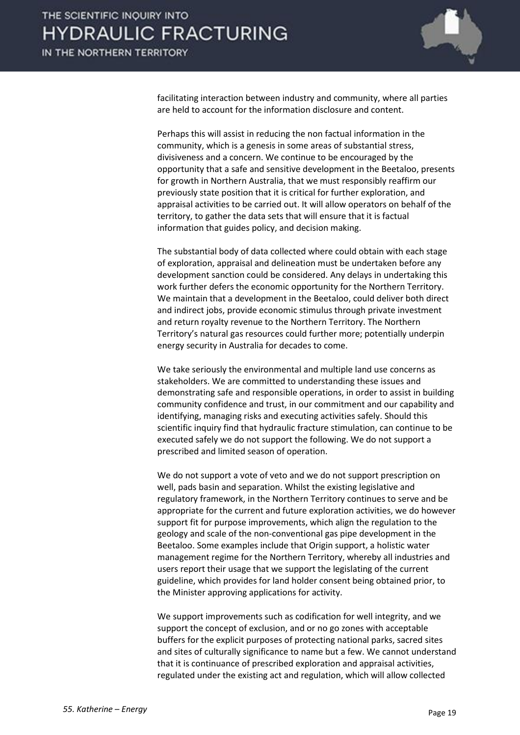

facilitating interaction between industry and community, where all parties are held to account for the information disclosure and content.

Perhaps this will assist in reducing the non factual information in the community, which is a genesis in some areas of substantial stress, divisiveness and a concern. We continue to be encouraged by the opportunity that a safe and sensitive development in the Beetaloo, presents for growth in Northern Australia, that we must responsibly reaffirm our previously state position that it is critical for further exploration, and appraisal activities to be carried out. It will allow operators on behalf of the territory, to gather the data sets that will ensure that it is factual information that guides policy, and decision making.

The substantial body of data collected where could obtain with each stage of exploration, appraisal and delineation must be undertaken before any development sanction could be considered. Any delays in undertaking this work further defers the economic opportunity for the Northern Territory. We maintain that a development in the Beetaloo, could deliver both direct and indirect jobs, provide economic stimulus through private investment and return royalty revenue to the Northern Territory. The Northern Territory's natural gas resources could further more; potentially underpin energy security in Australia for decades to come.

We take seriously the environmental and multiple land use concerns as stakeholders. We are committed to understanding these issues and demonstrating safe and responsible operations, in order to assist in building community confidence and trust, in our commitment and our capability and identifying, managing risks and executing activities safely. Should this scientific inquiry find that hydraulic fracture stimulation, can continue to be executed safely we do not support the following. We do not support a prescribed and limited season of operation.

We do not support a vote of veto and we do not support prescription on well, pads basin and separation. Whilst the existing legislative and regulatory framework, in the Northern Territory continues to serve and be appropriate for the current and future exploration activities, we do however support fit for purpose improvements, which align the regulation to the geology and scale of the non-conventional gas pipe development in the Beetaloo. Some examples include that Origin support, a holistic water management regime for the Northern Territory, whereby all industries and users report their usage that we support the legislating of the current guideline, which provides for land holder consent being obtained prior, to the Minister approving applications for activity.

We support improvements such as codification for well integrity, and we support the concept of exclusion, and or no go zones with acceptable buffers for the explicit purposes of protecting national parks, sacred sites and sites of culturally significance to name but a few. We cannot understand that it is continuance of prescribed exploration and appraisal activities, regulated under the existing act and regulation, which will allow collected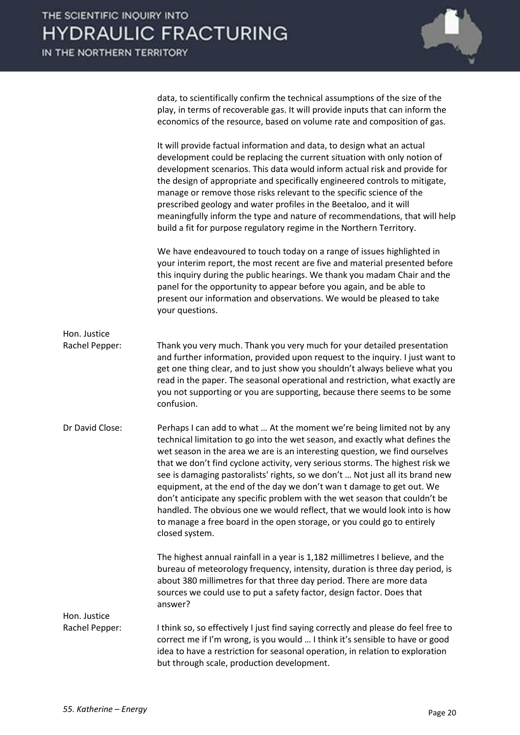

data, to scientifically confirm the technical assumptions of the size of the play, in terms of recoverable gas. It will provide inputs that can inform the economics of the resource, based on volume rate and composition of gas.

It will provide factual information and data, to design what an actual development could be replacing the current situation with only notion of development scenarios. This data would inform actual risk and provide for the design of appropriate and specifically engineered controls to mitigate, manage or remove those risks relevant to the specific science of the prescribed geology and water profiles in the Beetaloo, and it will meaningfully inform the type and nature of recommendations, that will help build a fit for purpose regulatory regime in the Northern Territory.

We have endeavoured to touch today on a range of issues highlighted in your interim report, the most recent are five and material presented before this inquiry during the public hearings. We thank you madam Chair and the panel for the opportunity to appear before you again, and be able to present our information and observations. We would be pleased to take your questions.

Rachel Pepper: Thank you very much. Thank you very much for your detailed presentation and further information, provided upon request to the inquiry. I just want to get one thing clear, and to just show you shouldn't always believe what you read in the paper. The seasonal operational and restriction, what exactly are you not supporting or you are supporting, because there seems to be some confusion.

Dr David Close: Perhaps I can add to what ... At the moment we're being limited not by any technical limitation to go into the wet season, and exactly what defines the wet season in the area we are is an interesting question, we find ourselves that we don't find cyclone activity, very serious storms. The highest risk we see is damaging pastoralists' rights, so we don't … Not just all its brand new equipment, at the end of the day we don't wan t damage to get out. We don't anticipate any specific problem with the wet season that couldn't be handled. The obvious one we would reflect, that we would look into is how to manage a free board in the open storage, or you could go to entirely closed system.

> The highest annual rainfall in a year is 1,182 millimetres I believe, and the bureau of meteorology frequency, intensity, duration is three day period, is about 380 millimetres for that three day period. There are more data sources we could use to put a safety factor, design factor. Does that answer?

Hon. Justice Rachel Pepper: I think so, so effectively I just find saying correctly and please do feel free to correct me if I'm wrong, is you would … I think it's sensible to have or good idea to have a restriction for seasonal operation, in relation to exploration but through scale, production development.

Hon. Justice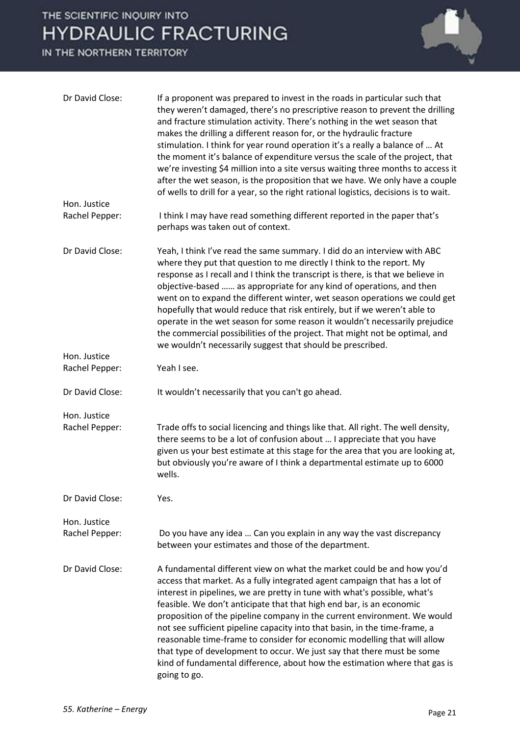IN THE NORTHERN TERRITORY



| Dr David Close:                | If a proponent was prepared to invest in the roads in particular such that<br>they weren't damaged, there's no prescriptive reason to prevent the drilling<br>and fracture stimulation activity. There's nothing in the wet season that<br>makes the drilling a different reason for, or the hydraulic fracture<br>stimulation. I think for year round operation it's a really a balance of  At<br>the moment it's balance of expenditure versus the scale of the project, that<br>we're investing \$4 million into a site versus waiting three months to access it<br>after the wet season, is the proposition that we have. We only have a couple<br>of wells to drill for a year, so the right rational logistics, decisions is to wait. |
|--------------------------------|---------------------------------------------------------------------------------------------------------------------------------------------------------------------------------------------------------------------------------------------------------------------------------------------------------------------------------------------------------------------------------------------------------------------------------------------------------------------------------------------------------------------------------------------------------------------------------------------------------------------------------------------------------------------------------------------------------------------------------------------|
| Hon. Justice                   |                                                                                                                                                                                                                                                                                                                                                                                                                                                                                                                                                                                                                                                                                                                                             |
| Rachel Pepper:                 | I think I may have read something different reported in the paper that's<br>perhaps was taken out of context.                                                                                                                                                                                                                                                                                                                                                                                                                                                                                                                                                                                                                               |
| Dr David Close:                | Yeah, I think I've read the same summary. I did do an interview with ABC<br>where they put that question to me directly I think to the report. My<br>response as I recall and I think the transcript is there, is that we believe in<br>objective-based  as appropriate for any kind of operations, and then<br>went on to expand the different winter, wet season operations we could get<br>hopefully that would reduce that risk entirely, but if we weren't able to<br>operate in the wet season for some reason it wouldn't necessarily prejudice<br>the commercial possibilities of the project. That might not be optimal, and<br>we wouldn't necessarily suggest that should be prescribed.                                         |
| Hon. Justice                   |                                                                                                                                                                                                                                                                                                                                                                                                                                                                                                                                                                                                                                                                                                                                             |
| Rachel Pepper:                 | Yeah I see.                                                                                                                                                                                                                                                                                                                                                                                                                                                                                                                                                                                                                                                                                                                                 |
| Dr David Close:                | It wouldn't necessarily that you can't go ahead.                                                                                                                                                                                                                                                                                                                                                                                                                                                                                                                                                                                                                                                                                            |
| Hon. Justice<br>Rachel Pepper: | Trade offs to social licencing and things like that. All right. The well density,<br>there seems to be a lot of confusion about  I appreciate that you have<br>given us your best estimate at this stage for the area that you are looking at,<br>but obviously you're aware of I think a departmental estimate up to 6000<br>wells.                                                                                                                                                                                                                                                                                                                                                                                                        |
| Dr David Close:                | Yes.                                                                                                                                                                                                                                                                                                                                                                                                                                                                                                                                                                                                                                                                                                                                        |
| Hon. Justice<br>Rachel Pepper: | Do you have any idea  Can you explain in any way the vast discrepancy<br>between your estimates and those of the department.                                                                                                                                                                                                                                                                                                                                                                                                                                                                                                                                                                                                                |
| Dr David Close:                | A fundamental different view on what the market could be and how you'd<br>access that market. As a fully integrated agent campaign that has a lot of<br>interest in pipelines, we are pretty in tune with what's possible, what's<br>feasible. We don't anticipate that that high end bar, is an economic<br>proposition of the pipeline company in the current environment. We would<br>not see sufficient pipeline capacity into that basin, in the time-frame, a<br>reasonable time-frame to consider for economic modelling that will allow<br>that type of development to occur. We just say that there must be some<br>kind of fundamental difference, about how the estimation where that gas is<br>going to go.                     |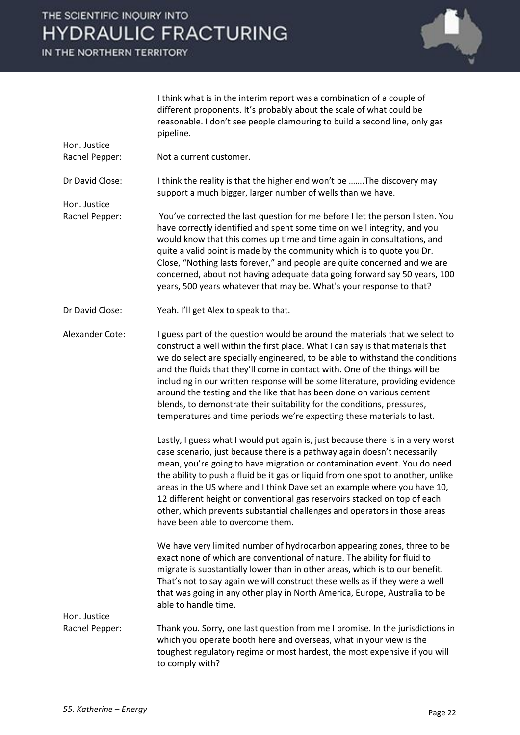IN THE NORTHERN TERRITORY

Hon. Justice

Hon. Justice



I think what is in the interim report was a combination of a couple of different proponents. It's probably about the scale of what could be reasonable. I don't see people clamouring to build a second line, only gas pipeline.

Rachel Pepper: Not a current customer.

Dr David Close: I think the reality is that the higher end won't be …….The discovery may support a much bigger, larger number of wells than we have.

Rachel Pepper: You've corrected the last question for me before I let the person listen. You have correctly identified and spent some time on well integrity, and you would know that this comes up time and time again in consultations, and quite a valid point is made by the community which is to quote you Dr. Close, "Nothing lasts forever," and people are quite concerned and we are concerned, about not having adequate data going forward say 50 years, 100 years, 500 years whatever that may be. What's your response to that?

Dr David Close: Yeah. I'll get Alex to speak to that.

Alexander Cote: I guess part of the question would be around the materials that we select to construct a well within the first place. What I can say is that materials that we do select are specially engineered, to be able to withstand the conditions and the fluids that they'll come in contact with. One of the things will be including in our written response will be some literature, providing evidence around the testing and the like that has been done on various cement blends, to demonstrate their suitability for the conditions, pressures, temperatures and time periods we're expecting these materials to last.

> Lastly, I guess what I would put again is, just because there is in a very worst case scenario, just because there is a pathway again doesn't necessarily mean, you're going to have migration or contamination event. You do need the ability to push a fluid be it gas or liquid from one spot to another, unlike areas in the US where and I think Dave set an example where you have 10, 12 different height or conventional gas reservoirs stacked on top of each other, which prevents substantial challenges and operators in those areas have been able to overcome them.

We have very limited number of hydrocarbon appearing zones, three to be exact none of which are conventional of nature. The ability for fluid to migrate is substantially lower than in other areas, which is to our benefit. That's not to say again we will construct these wells as if they were a well that was going in any other play in North America, Europe, Australia to be able to handle time.

Rachel Pepper: Thank you. Sorry, one last question from me I promise. In the jurisdictions in which you operate booth here and overseas, what in your view is the toughest regulatory regime or most hardest, the most expensive if you will to comply with?

Hon. Justice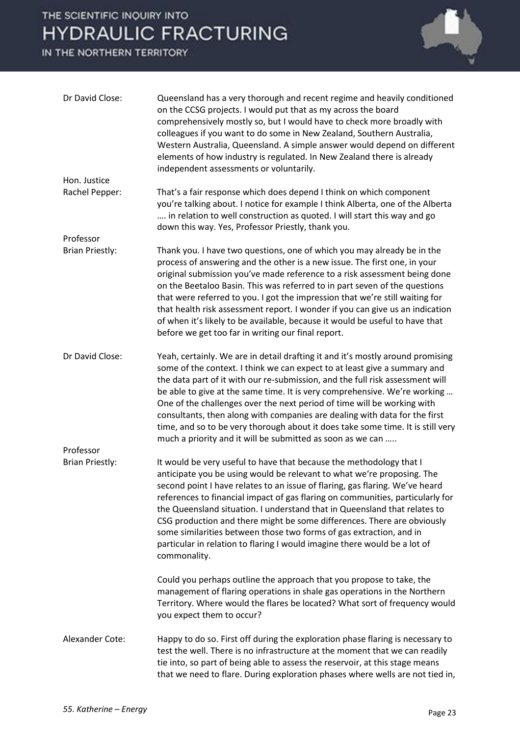### IN THE NORTHERN TERRITORY



| Dr David Close:        | Queensland has a very thorough and recent regime and heavily conditioned<br>on the CCSG projects. I would put that as my across the board<br>comprehensively mostly so, but I would have to check more broadly with<br>colleagues if you want to do some in New Zealand, Southern Australia,<br>Western Australia, Queensland. A simple answer would depend on different<br>elements of how industry is regulated. In New Zealand there is already<br>independent assessments or voluntarily.                                                                                                                                               |
|------------------------|---------------------------------------------------------------------------------------------------------------------------------------------------------------------------------------------------------------------------------------------------------------------------------------------------------------------------------------------------------------------------------------------------------------------------------------------------------------------------------------------------------------------------------------------------------------------------------------------------------------------------------------------|
| Hon. Justice           |                                                                                                                                                                                                                                                                                                                                                                                                                                                                                                                                                                                                                                             |
| Rachel Pepper:         | That's a fair response which does depend I think on which component<br>you're talking about. I notice for example I think Alberta, one of the Alberta<br>in relation to well construction as quoted. I will start this way and go<br>down this way. Yes, Professor Priestly, thank you.                                                                                                                                                                                                                                                                                                                                                     |
| Professor              |                                                                                                                                                                                                                                                                                                                                                                                                                                                                                                                                                                                                                                             |
| <b>Brian Priestly:</b> | Thank you. I have two questions, one of which you may already be in the<br>process of answering and the other is a new issue. The first one, in your<br>original submission you've made reference to a risk assessment being done<br>on the Beetaloo Basin. This was referred to in part seven of the questions<br>that were referred to you. I got the impression that we're still waiting for<br>that health risk assessment report. I wonder if you can give us an indication<br>of when it's likely to be available, because it would be useful to have that<br>before we get too far in writing our final report.                      |
| Dr David Close:        | Yeah, certainly. We are in detail drafting it and it's mostly around promising<br>some of the context. I think we can expect to at least give a summary and<br>the data part of it with our re-submission, and the full risk assessment will<br>be able to give at the same time. It is very comprehensive. We're working<br>One of the challenges over the next period of time will be working with<br>consultants, then along with companies are dealing with data for the first<br>time, and so to be very thorough about it does take some time. It is still very<br>much a priority and it will be submitted as soon as we can         |
| Professor              |                                                                                                                                                                                                                                                                                                                                                                                                                                                                                                                                                                                                                                             |
| <b>Brian Priestly:</b> | It would be very useful to have that because the methodology that I<br>anticipate you be using would be relevant to what we're proposing. The<br>second point I have relates to an issue of flaring, gas flaring. We've heard<br>references to financial impact of gas flaring on communities, particularly for<br>the Queensland situation. I understand that in Queensland that relates to<br>CSG production and there might be some differences. There are obviously<br>some similarities between those two forms of gas extraction, and in<br>particular in relation to flaring I would imagine there would be a lot of<br>commonality. |
|                        | Could you perhaps outline the approach that you propose to take, the<br>management of flaring operations in shale gas operations in the Northern<br>Territory. Where would the flares be located? What sort of frequency would<br>you expect them to occur?                                                                                                                                                                                                                                                                                                                                                                                 |
| Alexander Cote:        | Happy to do so. First off during the exploration phase flaring is necessary to<br>test the well. There is no infrastructure at the moment that we can readily<br>tie into, so part of being able to assess the reservoir, at this stage means<br>that we need to flare. During exploration phases where wells are not tied in,                                                                                                                                                                                                                                                                                                              |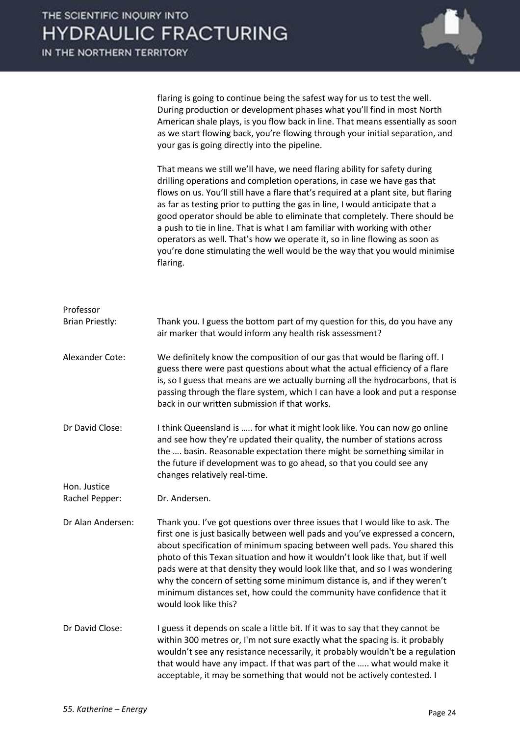

flaring is going to continue being the safest way for us to test the well. During production or development phases what you'll find in most North American shale plays, is you flow back in line. That means essentially as soon as we start flowing back, you're flowing through your initial separation, and your gas is going directly into the pipeline.

That means we still we'll have, we need flaring ability for safety during drilling operations and completion operations, in case we have gas that flows on us. You'll still have a flare that's required at a plant site, but flaring as far as testing prior to putting the gas in line, I would anticipate that a good operator should be able to eliminate that completely. There should be a push to tie in line. That is what I am familiar with working with other operators as well. That's how we operate it, so in line flowing as soon as you're done stimulating the well would be the way that you would minimise flaring.

| Professor<br><b>Brian Priestly:</b> | Thank you. I guess the bottom part of my question for this, do you have any<br>air marker that would inform any health risk assessment?                                                                                                                                                                                                                                                                                                                                                                                                                                                    |
|-------------------------------------|--------------------------------------------------------------------------------------------------------------------------------------------------------------------------------------------------------------------------------------------------------------------------------------------------------------------------------------------------------------------------------------------------------------------------------------------------------------------------------------------------------------------------------------------------------------------------------------------|
| Alexander Cote:                     | We definitely know the composition of our gas that would be flaring off. I<br>guess there were past questions about what the actual efficiency of a flare<br>is, so I guess that means are we actually burning all the hydrocarbons, that is<br>passing through the flare system, which I can have a look and put a response<br>back in our written submission if that works.                                                                                                                                                                                                              |
| Dr David Close:                     | I think Queensland is  for what it might look like. You can now go online<br>and see how they're updated their quality, the number of stations across<br>the  basin. Reasonable expectation there might be something similar in<br>the future if development was to go ahead, so that you could see any<br>changes relatively real-time.                                                                                                                                                                                                                                                   |
| Hon. Justice<br>Rachel Pepper:      | Dr. Andersen.                                                                                                                                                                                                                                                                                                                                                                                                                                                                                                                                                                              |
| Dr Alan Andersen:                   | Thank you. I've got questions over three issues that I would like to ask. The<br>first one is just basically between well pads and you've expressed a concern,<br>about specification of minimum spacing between well pads. You shared this<br>photo of this Texan situation and how it wouldn't look like that, but if well<br>pads were at that density they would look like that, and so I was wondering<br>why the concern of setting some minimum distance is, and if they weren't<br>minimum distances set, how could the community have confidence that it<br>would look like this? |
| Dr David Close:                     | I guess it depends on scale a little bit. If it was to say that they cannot be<br>within 300 metres or, I'm not sure exactly what the spacing is. it probably<br>wouldn't see any resistance necessarily, it probably wouldn't be a regulation<br>that would have any impact. If that was part of the  what would make it<br>acceptable, it may be something that would not be actively contested. I                                                                                                                                                                                       |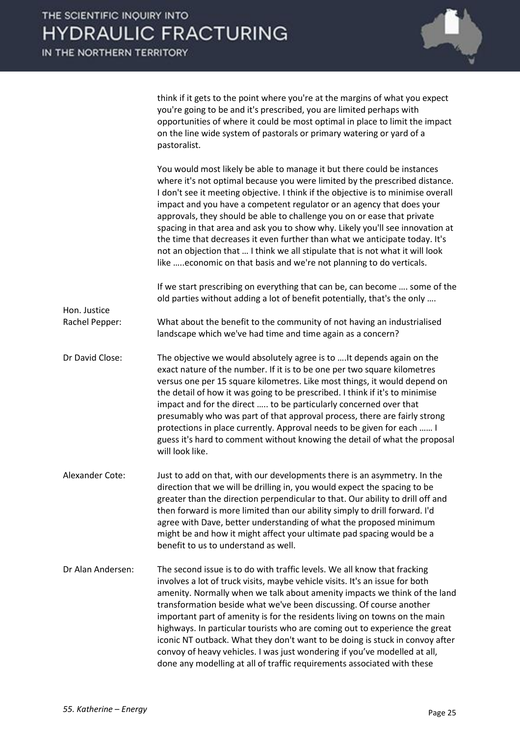think if it gets to the point where you're at the margins of what you expect you're going to be and it's prescribed, you are limited perhaps with opportunities of where it could be most optimal in place to limit the impact on the line wide system of pastorals or primary watering or yard of a pastoralist.

You would most likely be able to manage it but there could be instances where it's not optimal because you were limited by the prescribed distance. I don't see it meeting objective. I think if the objective is to minimise overall impact and you have a competent regulator or an agency that does your approvals, they should be able to challenge you on or ease that private spacing in that area and ask you to show why. Likely you'll see innovation at the time that decreases it even further than what we anticipate today. It's not an objection that … I think we all stipulate that is not what it will look like …..economic on that basis and we're not planning to do verticals. If we start prescribing on everything that can be, can become …. some of the old parties without adding a lot of benefit potentially, that's the only …. Hon. Justice Rachel Pepper: What about the benefit to the community of not having an industrialised landscape which we've had time and time again as a concern? Dr David Close: The objective we would absolutely agree is to ….It depends again on the exact nature of the number. If it is to be one per two square kilometres versus one per 15 square kilometres. Like most things, it would depend on the detail of how it was going to be prescribed. I think if it's to minimise impact and for the direct ….. to be particularly concerned over that presumably who was part of that approval process, there are fairly strong protections in place currently. Approval needs to be given for each …… I guess it's hard to comment without knowing the detail of what the proposal will look like. Alexander Cote: Just to add on that, with our developments there is an asymmetry. In the direction that we will be drilling in, you would expect the spacing to be greater than the direction perpendicular to that. Our ability to drill off and then forward is more limited than our ability simply to drill forward. I'd agree with Dave, better understanding of what the proposed minimum might be and how it might affect your ultimate pad spacing would be a benefit to us to understand as well. Dr Alan Andersen: The second issue is to do with traffic levels. We all know that fracking involves a lot of truck visits, maybe vehicle visits. It's an issue for both amenity. Normally when we talk about amenity impacts we think of the land transformation beside what we've been discussing. Of course another important part of amenity is for the residents living on towns on the main highways. In particular tourists who are coming out to experience the great iconic NT outback. What they don't want to be doing is stuck in convoy after convoy of heavy vehicles. I was just wondering if you've modelled at all,

done any modelling at all of traffic requirements associated with these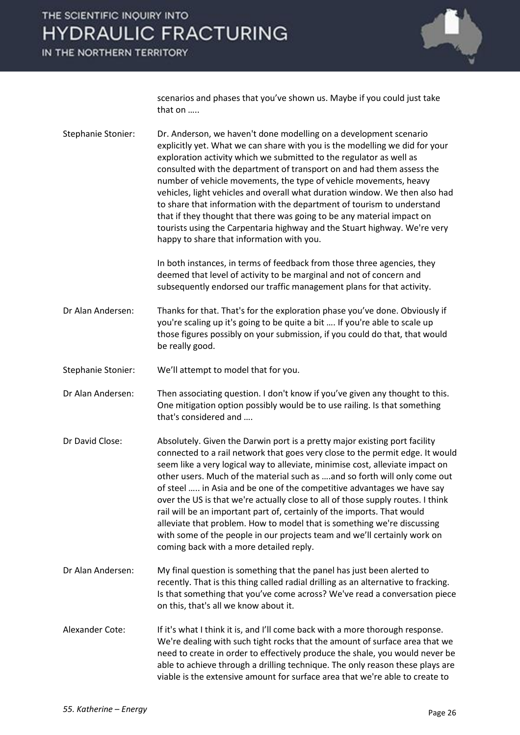IN THE NORTHERN TERRITORY



scenarios and phases that you've shown us. Maybe if you could just take that on …..

Stephanie Stonier: Dr. Anderson, we haven't done modelling on a development scenario explicitly yet. What we can share with you is the modelling we did for your exploration activity which we submitted to the regulator as well as consulted with the department of transport on and had them assess the number of vehicle movements, the type of vehicle movements, heavy vehicles, light vehicles and overall what duration window. We then also had to share that information with the department of tourism to understand that if they thought that there was going to be any material impact on tourists using the Carpentaria highway and the Stuart highway. We're very happy to share that information with you.

> In both instances, in terms of feedback from those three agencies, they deemed that level of activity to be marginal and not of concern and subsequently endorsed our traffic management plans for that activity.

Dr Alan Andersen: Thanks for that. That's for the exploration phase you've done. Obviously if you're scaling up it's going to be quite a bit …. If you're able to scale up those figures possibly on your submission, if you could do that, that would be really good.

Stephanie Stonier: We'll attempt to model that for you.

Dr Alan Andersen: Then associating question. I don't know if you've given any thought to this. One mitigation option possibly would be to use railing. Is that something that's considered and ….

- Dr David Close: Absolutely. Given the Darwin port is a pretty major existing port facility connected to a rail network that goes very close to the permit edge. It would seem like a very logical way to alleviate, minimise cost, alleviate impact on other users. Much of the material such as ….and so forth will only come out of steel ….. in Asia and be one of the competitive advantages we have say over the US is that we're actually close to all of those supply routes. I think rail will be an important part of, certainly of the imports. That would alleviate that problem. How to model that is something we're discussing with some of the people in our projects team and we'll certainly work on coming back with a more detailed reply.
- Dr Alan Andersen: My final question is something that the panel has just been alerted to recently. That is this thing called radial drilling as an alternative to fracking. Is that something that you've come across? We've read a conversation piece on this, that's all we know about it.
- Alexander Cote: If it's what I think it is, and I'll come back with a more thorough response. We're dealing with such tight rocks that the amount of surface area that we need to create in order to effectively produce the shale, you would never be able to achieve through a drilling technique. The only reason these plays are viable is the extensive amount for surface area that we're able to create to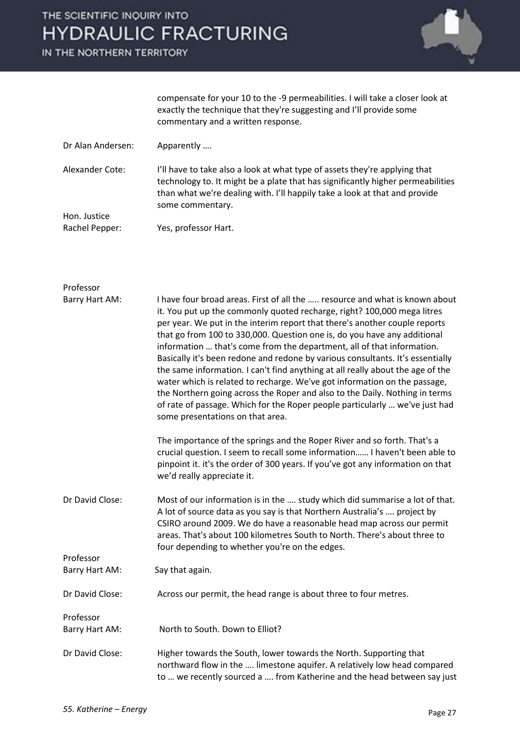IN THE NORTHERN TERRITORY



compensate for your 10 to the -9 permeabilities. I will take a closer look at exactly the technique that they're suggesting and I'll provide some commentary and a written response.

- Dr Alan Andersen: Apparently ....
- Alexander Cote: I'll have to take also a look at what type of assets they're applying that technology to. It might be a plate that has significantly higher permeabilities than what we're dealing with. I'll happily take a look at that and provide some commentary. Hon. Justice

| Rachel Pepper: | Yes, professor Hart. |
|----------------|----------------------|
|                |                      |

| Professor       |                                                                                                                                                                                                                                                                                                                                                                                                                                                                                                                                                                                                                                                                                                                                                                                                                                               |
|-----------------|-----------------------------------------------------------------------------------------------------------------------------------------------------------------------------------------------------------------------------------------------------------------------------------------------------------------------------------------------------------------------------------------------------------------------------------------------------------------------------------------------------------------------------------------------------------------------------------------------------------------------------------------------------------------------------------------------------------------------------------------------------------------------------------------------------------------------------------------------|
| Barry Hart AM:  | I have four broad areas. First of all the  resource and what is known about<br>it. You put up the commonly quoted recharge, right? 100,000 mega litres<br>per year. We put in the interim report that there's another couple reports<br>that go from 100 to 330,000. Question one is, do you have any additional<br>information  that's come from the department, all of that information.<br>Basically it's been redone and redone by various consultants. It's essentially<br>the same information. I can't find anything at all really about the age of the<br>water which is related to recharge. We've got information on the passage,<br>the Northern going across the Roper and also to the Daily. Nothing in terms<br>of rate of passage. Which for the Roper people particularly  we've just had<br>some presentations on that area. |
|                 | The importance of the springs and the Roper River and so forth. That's a<br>crucial question. I seem to recall some information I haven't been able to<br>pinpoint it. it's the order of 300 years. If you've got any information on that<br>we'd really appreciate it.                                                                                                                                                                                                                                                                                                                                                                                                                                                                                                                                                                       |
| Dr David Close: | Most of our information is in the  study which did summarise a lot of that.<br>A lot of source data as you say is that Northern Australia's  project by<br>CSIRO around 2009. We do have a reasonable head map across our permit<br>areas. That's about 100 kilometres South to North. There's about three to<br>four depending to whether you're on the edges.                                                                                                                                                                                                                                                                                                                                                                                                                                                                               |
| Professor       |                                                                                                                                                                                                                                                                                                                                                                                                                                                                                                                                                                                                                                                                                                                                                                                                                                               |
| Barry Hart AM:  | Say that again.                                                                                                                                                                                                                                                                                                                                                                                                                                                                                                                                                                                                                                                                                                                                                                                                                               |
| Dr David Close: | Across our permit, the head range is about three to four metres.                                                                                                                                                                                                                                                                                                                                                                                                                                                                                                                                                                                                                                                                                                                                                                              |
| Professor       |                                                                                                                                                                                                                                                                                                                                                                                                                                                                                                                                                                                                                                                                                                                                                                                                                                               |
| Barry Hart AM:  | North to South. Down to Elliot?                                                                                                                                                                                                                                                                                                                                                                                                                                                                                                                                                                                                                                                                                                                                                                                                               |
| Dr David Close: | Higher towards the South, lower towards the North. Supporting that<br>northward flow in the  limestone aquifer. A relatively low head compared<br>to  we recently sourced a  from Katherine and the head between say just                                                                                                                                                                                                                                                                                                                                                                                                                                                                                                                                                                                                                     |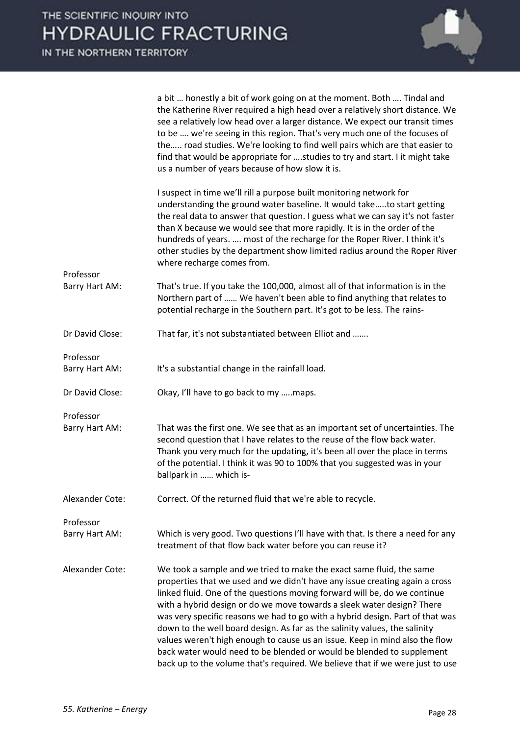

a bit … honestly a bit of work going on at the moment. Both …. Tindal and the Katherine River required a high head over a relatively short distance. We see a relatively low head over a larger distance. We expect our transit times to be …. we're seeing in this region. That's very much one of the focuses of the….. road studies. We're looking to find well pairs which are that easier to find that would be appropriate for ….studies to try and start. I it might take us a number of years because of how slow it is.

|                             | I suspect in time we'll rill a purpose built monitoring network for<br>understanding the ground water baseline. It would taketo start getting<br>the real data to answer that question. I guess what we can say it's not faster<br>than X because we would see that more rapidly. It is in the order of the<br>hundreds of years.  most of the recharge for the Roper River. I think it's<br>other studies by the department show limited radius around the Roper River<br>where recharge comes from.                                                                                                                                                                                                              |
|-----------------------------|--------------------------------------------------------------------------------------------------------------------------------------------------------------------------------------------------------------------------------------------------------------------------------------------------------------------------------------------------------------------------------------------------------------------------------------------------------------------------------------------------------------------------------------------------------------------------------------------------------------------------------------------------------------------------------------------------------------------|
| Professor<br>Barry Hart AM: | That's true. If you take the 100,000, almost all of that information is in the<br>Northern part of  We haven't been able to find anything that relates to                                                                                                                                                                                                                                                                                                                                                                                                                                                                                                                                                          |
|                             | potential recharge in the Southern part. It's got to be less. The rains-                                                                                                                                                                                                                                                                                                                                                                                                                                                                                                                                                                                                                                           |
| Dr David Close:             | That far, it's not substantiated between Elliot and                                                                                                                                                                                                                                                                                                                                                                                                                                                                                                                                                                                                                                                                |
| Professor<br>Barry Hart AM: | It's a substantial change in the rainfall load.                                                                                                                                                                                                                                                                                                                                                                                                                                                                                                                                                                                                                                                                    |
| Dr David Close:             | Okay, I'll have to go back to my maps.                                                                                                                                                                                                                                                                                                                                                                                                                                                                                                                                                                                                                                                                             |
| Professor<br>Barry Hart AM: | That was the first one. We see that as an important set of uncertainties. The<br>second question that I have relates to the reuse of the flow back water.<br>Thank you very much for the updating, it's been all over the place in terms<br>of the potential. I think it was 90 to 100% that you suggested was in your<br>ballpark in  which is-                                                                                                                                                                                                                                                                                                                                                                   |
| Alexander Cote:             | Correct. Of the returned fluid that we're able to recycle.                                                                                                                                                                                                                                                                                                                                                                                                                                                                                                                                                                                                                                                         |
| Professor                   |                                                                                                                                                                                                                                                                                                                                                                                                                                                                                                                                                                                                                                                                                                                    |
| Barry Hart AM:              | Which is very good. Two questions I'll have with that. Is there a need for any<br>treatment of that flow back water before you can reuse it?                                                                                                                                                                                                                                                                                                                                                                                                                                                                                                                                                                       |
| Alexander Cote:             | We took a sample and we tried to make the exact same fluid, the same<br>properties that we used and we didn't have any issue creating again a cross<br>linked fluid. One of the questions moving forward will be, do we continue<br>with a hybrid design or do we move towards a sleek water design? There<br>was very specific reasons we had to go with a hybrid design. Part of that was<br>down to the well board design. As far as the salinity values, the salinity<br>values weren't high enough to cause us an issue. Keep in mind also the flow<br>back water would need to be blended or would be blended to supplement<br>back up to the volume that's required. We believe that if we were just to use |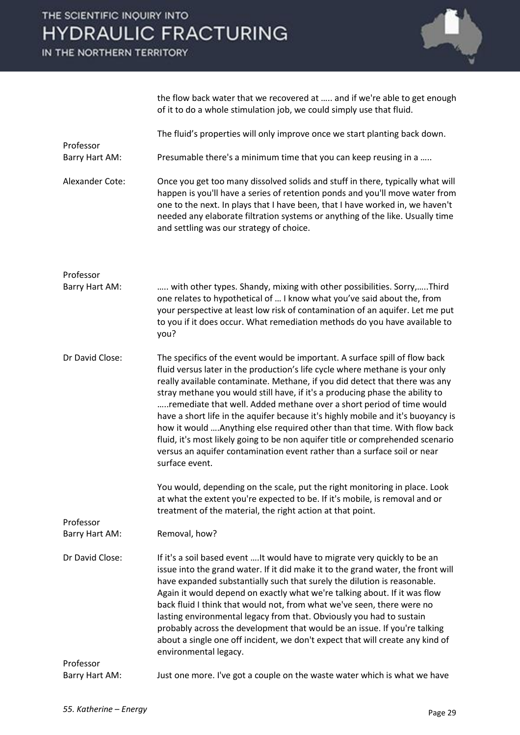IN THE NORTHERN TERRITORY



|                             | the flow back water that we recovered at  and if we're able to get enough<br>of it to do a whole stimulation job, we could simply use that fluid.                                                                                                                                                                                                                                                                                                                                                                                                                                                                                                                                                                                                   |
|-----------------------------|-----------------------------------------------------------------------------------------------------------------------------------------------------------------------------------------------------------------------------------------------------------------------------------------------------------------------------------------------------------------------------------------------------------------------------------------------------------------------------------------------------------------------------------------------------------------------------------------------------------------------------------------------------------------------------------------------------------------------------------------------------|
| Professor                   | The fluid's properties will only improve once we start planting back down.                                                                                                                                                                                                                                                                                                                                                                                                                                                                                                                                                                                                                                                                          |
| Barry Hart AM:              | Presumable there's a minimum time that you can keep reusing in a                                                                                                                                                                                                                                                                                                                                                                                                                                                                                                                                                                                                                                                                                    |
| Alexander Cote:             | Once you get too many dissolved solids and stuff in there, typically what will<br>happen is you'll have a series of retention ponds and you'll move water from<br>one to the next. In plays that I have been, that I have worked in, we haven't<br>needed any elaborate filtration systems or anything of the like. Usually time<br>and settling was our strategy of choice.                                                                                                                                                                                                                                                                                                                                                                        |
| Professor<br>Barry Hart AM: | with other types. Shandy, mixing with other possibilities. Sorry,Third                                                                                                                                                                                                                                                                                                                                                                                                                                                                                                                                                                                                                                                                              |
|                             | one relates to hypothetical of  I know what you've said about the, from<br>your perspective at least low risk of contamination of an aquifer. Let me put<br>to you if it does occur. What remediation methods do you have available to<br>you?                                                                                                                                                                                                                                                                                                                                                                                                                                                                                                      |
| Dr David Close:             | The specifics of the event would be important. A surface spill of flow back<br>fluid versus later in the production's life cycle where methane is your only<br>really available contaminate. Methane, if you did detect that there was any<br>stray methane you would still have, if it's a producing phase the ability to<br>remediate that well. Added methane over a short period of time would<br>have a short life in the aquifer because it's highly mobile and it's buoyancy is<br>how it would  Anything else required other than that time. With flow back<br>fluid, it's most likely going to be non aquifer title or comprehended scenario<br>versus an aquifer contamination event rather than a surface soil or near<br>surface event. |
|                             | You would, depending on the scale, put the right monitoring in place. Look<br>at what the extent you're expected to be. If it's mobile, is removal and or<br>treatment of the material, the right action at that point.                                                                                                                                                                                                                                                                                                                                                                                                                                                                                                                             |
| Professor<br>Barry Hart AM: | Removal, how?                                                                                                                                                                                                                                                                                                                                                                                                                                                                                                                                                                                                                                                                                                                                       |
| Dr David Close:             | If it's a soil based event  It would have to migrate very quickly to be an<br>issue into the grand water. If it did make it to the grand water, the front will<br>have expanded substantially such that surely the dilution is reasonable.<br>Again it would depend on exactly what we're talking about. If it was flow<br>back fluid I think that would not, from what we've seen, there were no<br>lasting environmental legacy from that. Obviously you had to sustain<br>probably across the development that would be an issue. If you're talking<br>about a single one off incident, we don't expect that will create any kind of<br>environmental legacy.                                                                                    |
| Professor<br>Barry Hart AM: | Just one more. I've got a couple on the waste water which is what we have                                                                                                                                                                                                                                                                                                                                                                                                                                                                                                                                                                                                                                                                           |
|                             |                                                                                                                                                                                                                                                                                                                                                                                                                                                                                                                                                                                                                                                                                                                                                     |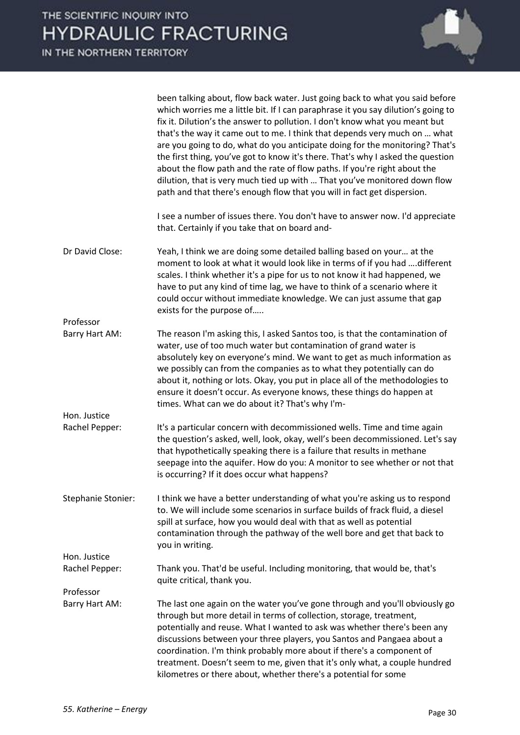

|                           | been talking about, flow back water. Just going back to what you said before<br>which worries me a little bit. If I can paraphrase it you say dilution's going to<br>fix it. Dilution's the answer to pollution. I don't know what you meant but<br>that's the way it came out to me. I think that depends very much on  what<br>are you going to do, what do you anticipate doing for the monitoring? That's<br>the first thing, you've got to know it's there. That's why I asked the question<br>about the flow path and the rate of flow paths. If you're right about the<br>dilution, that is very much tied up with  That you've monitored down flow<br>path and that there's enough flow that you will in fact get dispersion. |
|---------------------------|---------------------------------------------------------------------------------------------------------------------------------------------------------------------------------------------------------------------------------------------------------------------------------------------------------------------------------------------------------------------------------------------------------------------------------------------------------------------------------------------------------------------------------------------------------------------------------------------------------------------------------------------------------------------------------------------------------------------------------------|
|                           | I see a number of issues there. You don't have to answer now. I'd appreciate<br>that. Certainly if you take that on board and-                                                                                                                                                                                                                                                                                                                                                                                                                                                                                                                                                                                                        |
| Dr David Close:           | Yeah, I think we are doing some detailed balling based on your at the<br>moment to look at what it would look like in terms of if you had  different<br>scales. I think whether it's a pipe for us to not know it had happened, we<br>have to put any kind of time lag, we have to think of a scenario where it<br>could occur without immediate knowledge. We can just assume that gap<br>exists for the purpose of                                                                                                                                                                                                                                                                                                                  |
| Professor                 |                                                                                                                                                                                                                                                                                                                                                                                                                                                                                                                                                                                                                                                                                                                                       |
| Barry Hart AM:            | The reason I'm asking this, I asked Santos too, is that the contamination of<br>water, use of too much water but contamination of grand water is<br>absolutely key on everyone's mind. We want to get as much information as<br>we possibly can from the companies as to what they potentially can do<br>about it, nothing or lots. Okay, you put in place all of the methodologies to<br>ensure it doesn't occur. As everyone knows, these things do happen at<br>times. What can we do about it? That's why I'm-                                                                                                                                                                                                                    |
| Hon. Justice              |                                                                                                                                                                                                                                                                                                                                                                                                                                                                                                                                                                                                                                                                                                                                       |
| Rachel Pepper:            | It's a particular concern with decommissioned wells. Time and time again<br>the question's asked, well, look, okay, well's been decommissioned. Let's say<br>that hypothetically speaking there is a failure that results in methane<br>seepage into the aquifer. How do you: A monitor to see whether or not that<br>is occurring? If it does occur what happens?                                                                                                                                                                                                                                                                                                                                                                    |
| <b>Stephanie Stonier:</b> | I think we have a better understanding of what you're asking us to respond<br>to. We will include some scenarios in surface builds of frack fluid, a diesel<br>spill at surface, how you would deal with that as well as potential<br>contamination through the pathway of the well bore and get that back to<br>you in writing.                                                                                                                                                                                                                                                                                                                                                                                                      |
| Hon. Justice              |                                                                                                                                                                                                                                                                                                                                                                                                                                                                                                                                                                                                                                                                                                                                       |
| Rachel Pepper:            | Thank you. That'd be useful. Including monitoring, that would be, that's<br>quite critical, thank you.                                                                                                                                                                                                                                                                                                                                                                                                                                                                                                                                                                                                                                |
| Professor                 |                                                                                                                                                                                                                                                                                                                                                                                                                                                                                                                                                                                                                                                                                                                                       |
| Barry Hart AM:            | The last one again on the water you've gone through and you'll obviously go<br>through but more detail in terms of collection, storage, treatment,<br>potentially and reuse. What I wanted to ask was whether there's been any<br>discussions between your three players, you Santos and Pangaea about a<br>coordination. I'm think probably more about if there's a component of<br>treatment. Doesn't seem to me, given that it's only what, a couple hundred<br>kilometres or there about, whether there's a potential for some                                                                                                                                                                                                    |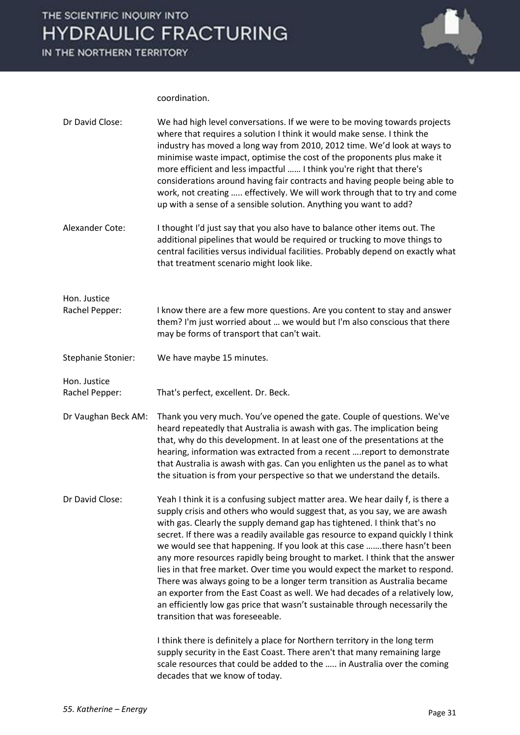

coordination.

| Dr David Close:     | We had high level conversations. If we were to be moving towards projects<br>where that requires a solution I think it would make sense. I think the<br>industry has moved a long way from 2010, 2012 time. We'd look at ways to<br>minimise waste impact, optimise the cost of the proponents plus make it<br>more efficient and less impactful  I think you're right that there's<br>considerations around having fair contracts and having people being able to<br>work, not creating  effectively. We will work through that to try and come<br>up with a sense of a sensible solution. Anything you want to add?                                                                                                                                                                                                                                                                                                                                                                                             |
|---------------------|-------------------------------------------------------------------------------------------------------------------------------------------------------------------------------------------------------------------------------------------------------------------------------------------------------------------------------------------------------------------------------------------------------------------------------------------------------------------------------------------------------------------------------------------------------------------------------------------------------------------------------------------------------------------------------------------------------------------------------------------------------------------------------------------------------------------------------------------------------------------------------------------------------------------------------------------------------------------------------------------------------------------|
| Alexander Cote:     | I thought I'd just say that you also have to balance other items out. The<br>additional pipelines that would be required or trucking to move things to<br>central facilities versus individual facilities. Probably depend on exactly what<br>that treatment scenario might look like.                                                                                                                                                                                                                                                                                                                                                                                                                                                                                                                                                                                                                                                                                                                            |
| Hon. Justice        |                                                                                                                                                                                                                                                                                                                                                                                                                                                                                                                                                                                                                                                                                                                                                                                                                                                                                                                                                                                                                   |
| Rachel Pepper:      | I know there are a few more questions. Are you content to stay and answer<br>them? I'm just worried about  we would but I'm also conscious that there<br>may be forms of transport that can't wait.                                                                                                                                                                                                                                                                                                                                                                                                                                                                                                                                                                                                                                                                                                                                                                                                               |
| Stephanie Stonier:  | We have maybe 15 minutes.                                                                                                                                                                                                                                                                                                                                                                                                                                                                                                                                                                                                                                                                                                                                                                                                                                                                                                                                                                                         |
| Hon. Justice        |                                                                                                                                                                                                                                                                                                                                                                                                                                                                                                                                                                                                                                                                                                                                                                                                                                                                                                                                                                                                                   |
| Rachel Pepper:      | That's perfect, excellent. Dr. Beck.                                                                                                                                                                                                                                                                                                                                                                                                                                                                                                                                                                                                                                                                                                                                                                                                                                                                                                                                                                              |
| Dr Vaughan Beck AM: | Thank you very much. You've opened the gate. Couple of questions. We've<br>heard repeatedly that Australia is awash with gas. The implication being<br>that, why do this development. In at least one of the presentations at the<br>hearing, information was extracted from a recent  report to demonstrate<br>that Australia is awash with gas. Can you enlighten us the panel as to what<br>the situation is from your perspective so that we understand the details.                                                                                                                                                                                                                                                                                                                                                                                                                                                                                                                                          |
| Dr David Close:     | Yeah I think it is a confusing subject matter area. We hear daily f, is there a<br>supply crisis and others who would suggest that, as you say, we are awash<br>with gas. Clearly the supply demand gap has tightened. I think that's no<br>secret. If there was a readily available gas resource to expand quickly I think<br>we would see that happening. If you look at this case there hasn't been<br>any more resources rapidly being brought to market. I think that the answer<br>lies in that free market. Over time you would expect the market to respond.<br>There was always going to be a longer term transition as Australia became<br>an exporter from the East Coast as well. We had decades of a relatively low,<br>an efficiently low gas price that wasn't sustainable through necessarily the<br>transition that was foreseeable.<br>I think there is definitely a place for Northern territory in the long term<br>supply security in the East Coast. There aren't that many remaining large |
|                     | scale resources that could be added to the  in Australia over the coming<br>decades that we know of today.                                                                                                                                                                                                                                                                                                                                                                                                                                                                                                                                                                                                                                                                                                                                                                                                                                                                                                        |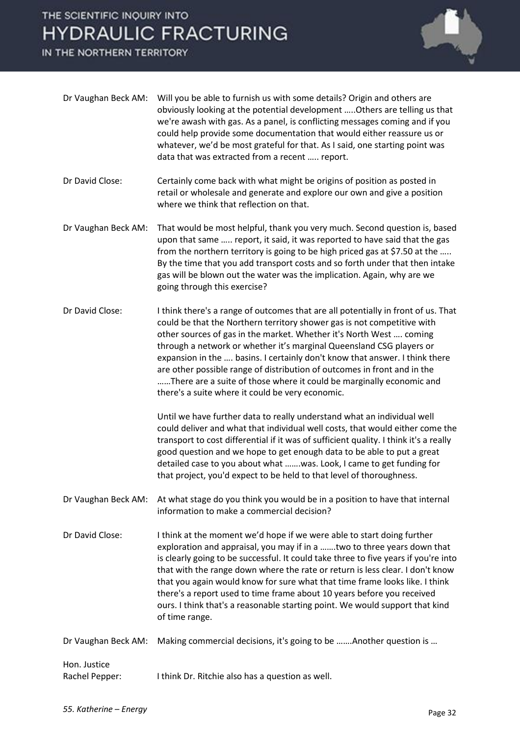IN THE NORTHERN TERRITORY



| Dr Vaughan Beck AM:            | Will you be able to furnish us with some details? Origin and others are<br>obviously looking at the potential development  Others are telling us that<br>we're awash with gas. As a panel, is conflicting messages coming and if you<br>could help provide some documentation that would either reassure us or<br>whatever, we'd be most grateful for that. As I said, one starting point was<br>data that was extracted from a recent  report.                                                                                                                                                    |
|--------------------------------|----------------------------------------------------------------------------------------------------------------------------------------------------------------------------------------------------------------------------------------------------------------------------------------------------------------------------------------------------------------------------------------------------------------------------------------------------------------------------------------------------------------------------------------------------------------------------------------------------|
| Dr David Close:                | Certainly come back with what might be origins of position as posted in<br>retail or wholesale and generate and explore our own and give a position<br>where we think that reflection on that.                                                                                                                                                                                                                                                                                                                                                                                                     |
| Dr Vaughan Beck AM:            | That would be most helpful, thank you very much. Second question is, based<br>upon that same  report, it said, it was reported to have said that the gas<br>from the northern territory is going to be high priced gas at \$7.50 at the<br>By the time that you add transport costs and so forth under that then intake<br>gas will be blown out the water was the implication. Again, why are we<br>going through this exercise?                                                                                                                                                                  |
| Dr David Close:                | I think there's a range of outcomes that are all potentially in front of us. That<br>could be that the Northern territory shower gas is not competitive with<br>other sources of gas in the market. Whether it's North West  coming<br>through a network or whether it's marginal Queensland CSG players or<br>expansion in the  basins. I certainly don't know that answer. I think there<br>are other possible range of distribution of outcomes in front and in the<br>There are a suite of those where it could be marginally economic and<br>there's a suite where it could be very economic. |
|                                | Until we have further data to really understand what an individual well<br>could deliver and what that individual well costs, that would either come the<br>transport to cost differential if it was of sufficient quality. I think it's a really<br>good question and we hope to get enough data to be able to put a great<br>detailed case to you about what  was. Look, I came to get funding for<br>that project, you'd expect to be held to that level of thoroughness.                                                                                                                       |
| Dr Vaughan Beck AM:            | At what stage do you think you would be in a position to have that internal<br>information to make a commercial decision?                                                                                                                                                                                                                                                                                                                                                                                                                                                                          |
| Dr David Close:                | I think at the moment we'd hope if we were able to start doing further<br>exploration and appraisal, you may if in a  two to three years down that<br>is clearly going to be successful. It could take three to five years if you're into<br>that with the range down where the rate or return is less clear. I don't know<br>that you again would know for sure what that time frame looks like. I think<br>there's a report used to time frame about 10 years before you received<br>ours. I think that's a reasonable starting point. We would support that kind<br>of time range.              |
| Dr Vaughan Beck AM:            | Making commercial decisions, it's going to be  Another question is                                                                                                                                                                                                                                                                                                                                                                                                                                                                                                                                 |
| Hon. Justice<br>Rachel Pepper: | I think Dr. Ritchie also has a question as well.                                                                                                                                                                                                                                                                                                                                                                                                                                                                                                                                                   |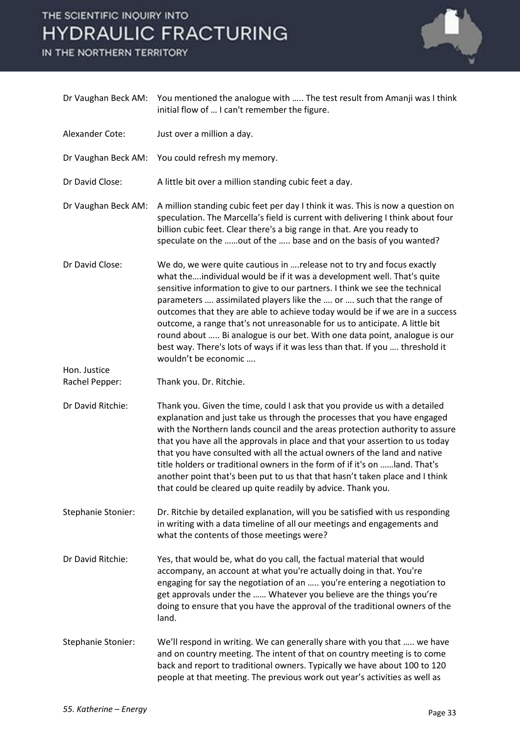IN THE NORTHERN TERRITORY



|                                | Dr Vaughan Beck AM: You mentioned the analogue with  The test result from Amanji was I think<br>initial flow of  I can't remember the figure.                                                                                                                                                                                                                                                                                                                                                                                                                                                                                                                |
|--------------------------------|--------------------------------------------------------------------------------------------------------------------------------------------------------------------------------------------------------------------------------------------------------------------------------------------------------------------------------------------------------------------------------------------------------------------------------------------------------------------------------------------------------------------------------------------------------------------------------------------------------------------------------------------------------------|
| Alexander Cote:                | Just over a million a day.                                                                                                                                                                                                                                                                                                                                                                                                                                                                                                                                                                                                                                   |
| Dr Vaughan Beck AM:            | You could refresh my memory.                                                                                                                                                                                                                                                                                                                                                                                                                                                                                                                                                                                                                                 |
| Dr David Close:                | A little bit over a million standing cubic feet a day.                                                                                                                                                                                                                                                                                                                                                                                                                                                                                                                                                                                                       |
| Dr Vaughan Beck AM:            | A million standing cubic feet per day I think it was. This is now a question on<br>speculation. The Marcella's field is current with delivering I think about four<br>billion cubic feet. Clear there's a big range in that. Are you ready to<br>speculate on the out of the  base and on the basis of you wanted?                                                                                                                                                                                                                                                                                                                                           |
| Dr David Close:                | We do, we were quite cautious in  release not to try and focus exactly<br>what theindividual would be if it was a development well. That's quite<br>sensitive information to give to our partners. I think we see the technical<br>parameters  assimilated players like the  or  such that the range of<br>outcomes that they are able to achieve today would be if we are in a success<br>outcome, a range that's not unreasonable for us to anticipate. A little bit<br>round about  Bi analogue is our bet. With one data point, analogue is our<br>best way. There's lots of ways if it was less than that. If you  threshold it<br>wouldn't be economic |
| Hon. Justice<br>Rachel Pepper: | Thank you. Dr. Ritchie.                                                                                                                                                                                                                                                                                                                                                                                                                                                                                                                                                                                                                                      |
| Dr David Ritchie:              | Thank you. Given the time, could I ask that you provide us with a detailed<br>explanation and just take us through the processes that you have engaged<br>with the Northern lands council and the areas protection authority to assure<br>that you have all the approvals in place and that your assertion to us today<br>that you have consulted with all the actual owners of the land and native<br>title holders or traditional owners in the form of if it's on land. That's<br>another point that's been put to us that that hasn't taken place and I think<br>that could be cleared up quite readily by advice. Thank you.                            |
| Stephanie Stonier:             | Dr. Ritchie by detailed explanation, will you be satisfied with us responding<br>in writing with a data timeline of all our meetings and engagements and<br>what the contents of those meetings were?                                                                                                                                                                                                                                                                                                                                                                                                                                                        |
| Dr David Ritchie:              | Yes, that would be, what do you call, the factual material that would<br>accompany, an account at what you're actually doing in that. You're<br>engaging for say the negotiation of an  you're entering a negotiation to<br>get approvals under the  Whatever you believe are the things you're<br>doing to ensure that you have the approval of the traditional owners of the<br>land.                                                                                                                                                                                                                                                                      |
| Stephanie Stonier:             | We'll respond in writing. We can generally share with you that  we have<br>and on country meeting. The intent of that on country meeting is to come<br>back and report to traditional owners. Typically we have about 100 to 120<br>people at that meeting. The previous work out year's activities as well as                                                                                                                                                                                                                                                                                                                                               |